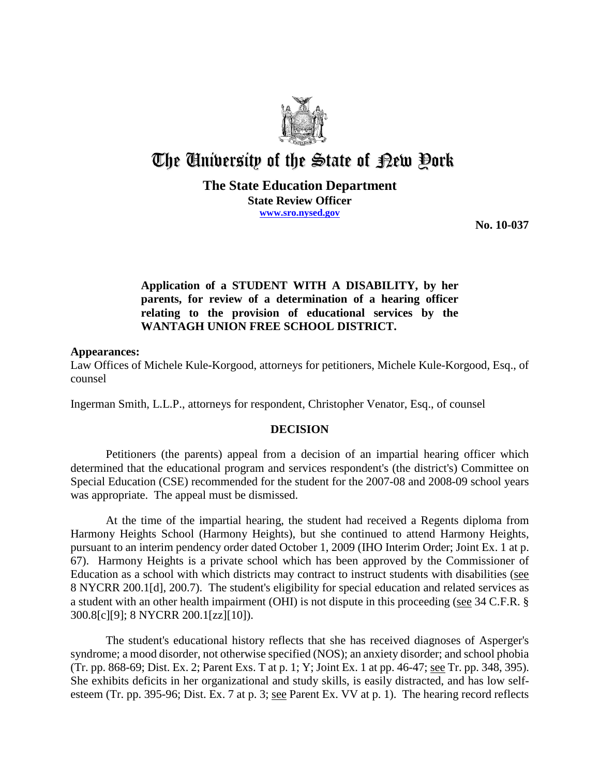

# The University of the State of Pew Pork

**The State Education Department State Review Officer**

**www.sro.nysed.gov**

**No. 10-037** 

### **Application of a STUDENT WITH A DISABILITY, by her parents, for review of a determination of a hearing officer relating to the provision of educational services by the WANTAGH UNION FREE SCHOOL DISTRICT.**

#### **Appearances:**

Law Offices of Michele Kule-Korgood, attorneys for petitioners, Michele Kule-Korgood, Esq., of counsel

Ingerman Smith, L.L.P., attorneys for respondent, Christopher Venator, Esq., of counsel

#### **DECISION**

Petitioners (the parents) appeal from a decision of an impartial hearing officer which determined that the educational program and services respondent's (the district's) Committee on Special Education (CSE) recommended for the student for the 2007-08 and 2008-09 school years was appropriate. The appeal must be dismissed.

At the time of the impartial hearing, the student had received a Regents diploma from Harmony Heights School (Harmony Heights), but she continued to attend Harmony Heights, pursuant to an interim pendency order dated October 1, 2009 (IHO Interim Order; Joint Ex. 1 at p. 67). Harmony Heights is a private school which has been approved by the Commissioner of Education as a school with which districts may contract to instruct students with disabilities (see 8 NYCRR 200.1[d], 200.7). The student's eligibility for special education and related services as a student with an other health impairment (OHI) is not dispute in this proceeding (see 34 C.F.R. § 300.8[c][9]; 8 NYCRR 200.1[zz][10]).

The student's educational history reflects that she has received diagnoses of Asperger's syndrome; a mood disorder, not otherwise specified (NOS); an anxiety disorder; and school phobia (Tr. pp. 868-69; Dist. Ex. 2; Parent Exs. T at p. 1; Y; Joint Ex. 1 at pp. 46-47; see Tr. pp. 348, 395). She exhibits deficits in her organizational and study skills, is easily distracted, and has low selfesteem (Tr. pp. 395-96; Dist. Ex. 7 at p. 3; <u>see</u> Parent Ex. VV at p. 1). The hearing record reflects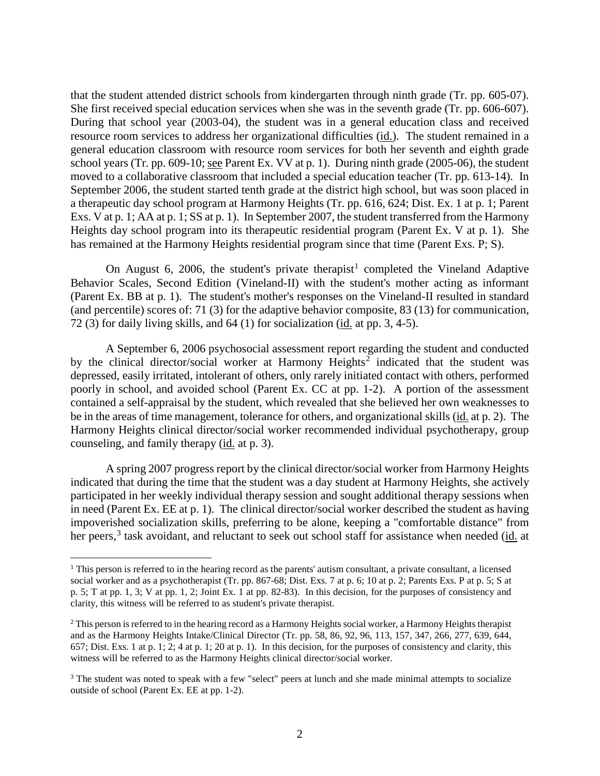that the student attended district schools from kindergarten through ninth grade (Tr. pp. 605-07). She first received special education services when she was in the seventh grade (Tr. pp. 606-607). During that school year (2003-04), the student was in a general education class and received resource room services to address her organizational difficulties (id.). The student remained in a general education classroom with resource room services for both her seventh and eighth grade school years (Tr. pp. 609-10; see Parent Ex. VV at p. 1). During ninth grade (2005-06), the student moved to a collaborative classroom that included a special education teacher (Tr. pp. 613-14). In September 2006, the student started tenth grade at the district high school, but was soon placed in a therapeutic day school program at Harmony Heights (Tr. pp. 616, 624; Dist. Ex. 1 at p. 1; Parent Exs. V at p. 1; AA at p. 1; SS at p. 1). In September 2007, the student transferred from the Harmony Heights day school program into its therapeutic residential program (Parent Ex. V at p. 1). She has remained at the Harmony Heights residential program since that time (Parent Exs. P; S).

On August 6, 2006, the student's private therapist<sup>1</sup> completed the Vineland Adaptive Behavior Scales, Second Edition (Vineland-II) with the student's mother acting as informant (Parent Ex. BB at p. 1). The student's mother's responses on the Vineland-II resulted in standard (and percentile) scores of: 71 (3) for the adaptive behavior composite, 83 (13) for communication, 72 (3) for daily living skills, and 64 (1) for socialization (id. at pp. 3, 4-5).

A September 6, 2006 psychosocial assessment report regarding the student and conducted by the clinical director/social worker at Harmony Heights<sup>2</sup> indicated that the student was depressed, easily irritated, intolerant of others, only rarely initiated contact with others, performed poorly in school, and avoided school (Parent Ex. CC at pp. 1-2). A portion of the assessment contained a self-appraisal by the student, which revealed that she believed her own weaknesses to be in the areas of time management, tolerance for others, and organizational skills (id. at p. 2). The Harmony Heights clinical director/social worker recommended individual psychotherapy, group counseling, and family therapy (id. at p. 3).

A spring 2007 progress report by the clinical director/social worker from Harmony Heights indicated that during the time that the student was a day student at Harmony Heights, she actively participated in her weekly individual therapy session and sought additional therapy sessions when in need (Parent Ex. EE at p. 1). The clinical director/social worker described the student as having impoverished socialization skills, preferring to be alone, keeping a "comfortable distance" from her peers,<sup>3</sup> task avoidant, and reluctant to seek out school staff for assistance when needed (id. at

<sup>&</sup>lt;sup>1</sup> This person is referred to in the hearing record as the parents' autism consultant, a private consultant, a licensed social worker and as a psychotherapist (Tr. pp. 867-68; Dist. Exs. 7 at p. 6; 10 at p. 2; Parents Exs. P at p. 5; S at p. 5; T at pp. 1, 3; V at pp. 1, 2; Joint Ex. 1 at pp. 82-83). In this decision, for the purposes of consistency and clarity, this witness will be referred to as student's private therapist.

<sup>&</sup>lt;sup>2</sup> This person is referred to in the hearing record as a Harmony Heights social worker, a Harmony Heights therapist and as the Harmony Heights Intake/Clinical Director (Tr. pp. 58, 86, 92, 96, 113, 157, 347, 266, 277, 639, 644, 657; Dist. Exs. 1 at p. 1; 2; 4 at p. 1; 20 at p. 1). In this decision, for the purposes of consistency and clarity, this witness will be referred to as the Harmony Heights clinical director/social worker.

<sup>&</sup>lt;sup>3</sup> The student was noted to speak with a few "select" peers at lunch and she made minimal attempts to socialize outside of school (Parent Ex. EE at pp. 1-2).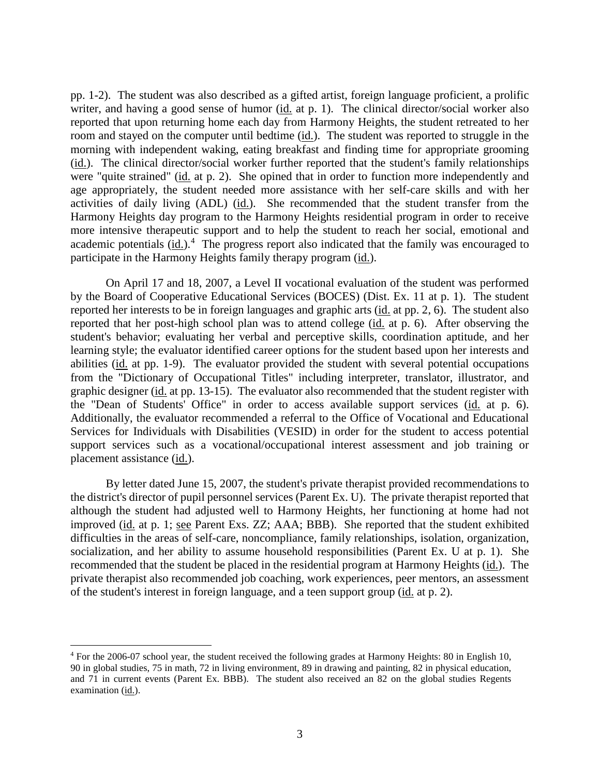pp. 1-2). The student was also described as a gifted artist, foreign language proficient, a prolific writer, and having a good sense of humor (id. at p. 1). The clinical director/social worker also reported that upon returning home each day from Harmony Heights, the student retreated to her room and stayed on the computer until bedtime (id.). The student was reported to struggle in the morning with independent waking, eating breakfast and finding time for appropriate grooming (id.). The clinical director/social worker further reported that the student's family relationships were "quite strained" (id. at p. 2). She opined that in order to function more independently and age appropriately, the student needed more assistance with her self-care skills and with her activities of daily living (ADL) (id.). She recommended that the student transfer from the Harmony Heights day program to the Harmony Heights residential program in order to receive more intensive therapeutic support and to help the student to reach her social, emotional and academic potentials (id.).<sup>4</sup> The progress report also indicated that the family was encouraged to participate in the Harmony Heights family therapy program (id.).

On April 17 and 18, 2007, a Level II vocational evaluation of the student was performed by the Board of Cooperative Educational Services (BOCES) (Dist. Ex. 11 at p. 1). The student reported her interests to be in foreign languages and graphic arts (id. at pp. 2, 6). The student also reported that her post-high school plan was to attend college (id. at p. 6). After observing the student's behavior; evaluating her verbal and perceptive skills, coordination aptitude, and her learning style; the evaluator identified career options for the student based upon her interests and abilities (id. at pp. 1-9). The evaluator provided the student with several potential occupations from the "Dictionary of Occupational Titles" including interpreter, translator, illustrator, and graphic designer (id. at pp. 13-15). The evaluator also recommended that the student register with the "Dean of Students' Office" in order to access available support services (id. at p. 6). Additionally, the evaluator recommended a referral to the Office of Vocational and Educational Services for Individuals with Disabilities (VESID) in order for the student to access potential support services such as a vocational/occupational interest assessment and job training or placement assistance (id.).

By letter dated June 15, 2007, the student's private therapist provided recommendations to the district's director of pupil personnel services (Parent Ex. U). The private therapist reported that although the student had adjusted well to Harmony Heights, her functioning at home had not improved (id. at p. 1; see Parent Exs. ZZ; AAA; BBB). She reported that the student exhibited difficulties in the areas of self-care, noncompliance, family relationships, isolation, organization, socialization, and her ability to assume household responsibilities (Parent Ex. U at p. 1). She recommended that the student be placed in the residential program at Harmony Heights (id.). The private therapist also recommended job coaching, work experiences, peer mentors, an assessment of the student's interest in foreign language, and a teen support group (id. at p. 2).

 <sup>4</sup> For the 2006-07 school year, the student received the following grades at Harmony Heights: 80 in English 10, 90 in global studies, 75 in math, 72 in living environment, 89 in drawing and painting, 82 in physical education, and 71 in current events (Parent Ex. BBB). The student also received an 82 on the global studies Regents examination (id.).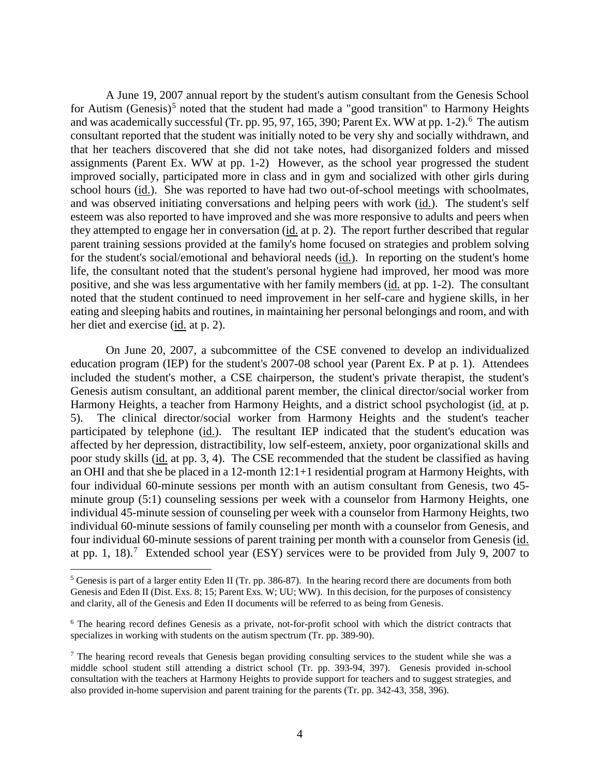A June 19, 2007 annual report by the student's autism consultant from the Genesis School for Autism (Genesis)<sup>5</sup> noted that the student had made a "good transition" to Harmony Heights and was academically successful (Tr. pp. 95, 97, 165, 390; Parent Ex. WW at pp. 1-2).<sup>6</sup> The autism consultant reported that the student was initially noted to be very shy and socially withdrawn, and that her teachers discovered that she did not take notes, had disorganized folders and missed assignments (Parent Ex. WW at pp. 1-2) However, as the school year progressed the student improved socially, participated more in class and in gym and socialized with other girls during school hours (id.). She was reported to have had two out-of-school meetings with schoolmates, and was observed initiating conversations and helping peers with work (id.). The student's self esteem was also reported to have improved and she was more responsive to adults and peers when they attempted to engage her in conversation (id. at p. 2). The report further described that regular parent training sessions provided at the family's home focused on strategies and problem solving for the student's social/emotional and behavioral needs (id.). In reporting on the student's home life, the consultant noted that the student's personal hygiene had improved, her mood was more positive, and she was less argumentative with her family members (id. at pp. 1-2). The consultant noted that the student continued to need improvement in her self-care and hygiene skills, in her eating and sleeping habits and routines, in maintaining her personal belongings and room, and with her diet and exercise (id. at p. 2).

On June 20, 2007, a subcommittee of the CSE convened to develop an individualized education program (IEP) for the student's 2007-08 school year (Parent Ex. P at p. 1). Attendees included the student's mother, a CSE chairperson, the student's private therapist, the student's Genesis autism consultant, an additional parent member, the clinical director/social worker from Harmony Heights, a teacher from Harmony Heights, and a district school psychologist (id. at p. 5). The clinical director/social worker from Harmony Heights and the student's teacher participated by telephone (id.). The resultant IEP indicated that the student's education was affected by her depression, distractibility, low self-esteem, anxiety, poor organizational skills and poor study skills (id. at pp. 3, 4). The CSE recommended that the student be classified as having an OHI and that she be placed in a 12-month 12:1+1 residential program at Harmony Heights, with four individual 60-minute sessions per month with an autism consultant from Genesis, two 45 minute group (5:1) counseling sessions per week with a counselor from Harmony Heights, one individual 45-minute session of counseling per week with a counselor from Harmony Heights, two individual 60-minute sessions of family counseling per month with a counselor from Genesis, and four individual 60-minute sessions of parent training per month with a counselor from Genesis (id. at pp. 1, 18).<sup>7</sup> Extended school year (ESY) services were to be provided from July 9, 2007 to

 $<sup>5</sup>$  Genesis is part of a larger entity Eden II (Tr. pp. 386-87). In the hearing record there are documents from both</sup> Genesis and Eden II (Dist. Exs. 8; 15; Parent Exs. W; UU; WW). In this decision, for the purposes of consistency and clarity, all of the Genesis and Eden II documents will be referred to as being from Genesis.

<sup>6</sup> The hearing record defines Genesis as a private, not-for-profit school with which the district contracts that specializes in working with students on the autism spectrum (Tr. pp. 389-90).

 $<sup>7</sup>$  The hearing record reveals that Genesis began providing consulting services to the student while she was a</sup> middle school student still attending a district school (Tr. pp. 393-94, 397). Genesis provided in-school consultation with the teachers at Harmony Heights to provide support for teachers and to suggest strategies, and also provided in-home supervision and parent training for the parents (Tr. pp. 342-43, 358, 396).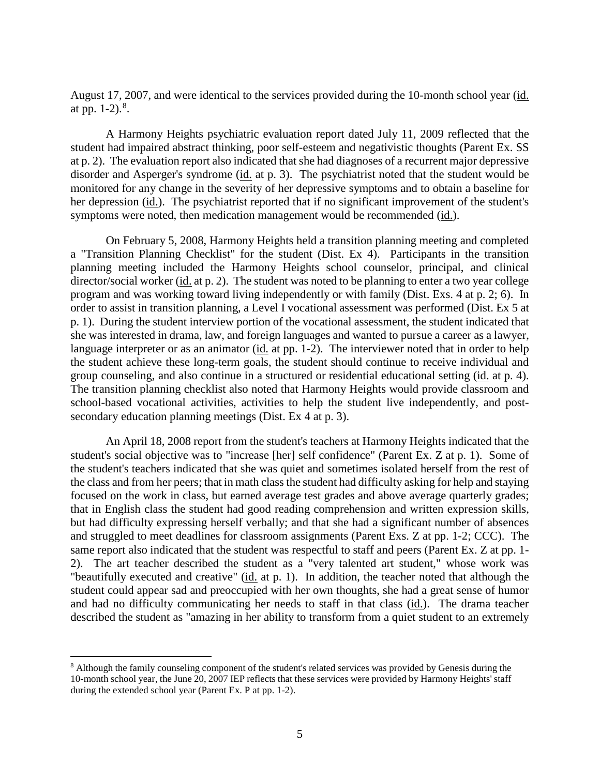August 17, 2007, and were identical to the services provided during the 10-month school year (id. at pp.  $1-2$ ).<sup>8</sup>.

A Harmony Heights psychiatric evaluation report dated July 11, 2009 reflected that the student had impaired abstract thinking, poor self-esteem and negativistic thoughts (Parent Ex. SS at p. 2). The evaluation report also indicated that she had diagnoses of a recurrent major depressive disorder and Asperger's syndrome (id. at p. 3). The psychiatrist noted that the student would be monitored for any change in the severity of her depressive symptoms and to obtain a baseline for her depression (id.). The psychiatrist reported that if no significant improvement of the student's symptoms were noted, then medication management would be recommended (id.).

On February 5, 2008, Harmony Heights held a transition planning meeting and completed a "Transition Planning Checklist" for the student (Dist. Ex 4). Participants in the transition planning meeting included the Harmony Heights school counselor, principal, and clinical director/social worker (id. at p. 2). The student was noted to be planning to enter a two year college program and was working toward living independently or with family (Dist. Exs. 4 at p. 2; 6). In order to assist in transition planning, a Level I vocational assessment was performed (Dist. Ex 5 at p. 1). During the student interview portion of the vocational assessment, the student indicated that she was interested in drama, law, and foreign languages and wanted to pursue a career as a lawyer, language interpreter or as an animator (id. at pp. 1-2). The interviewer noted that in order to help the student achieve these long-term goals, the student should continue to receive individual and group counseling, and also continue in a structured or residential educational setting (id. at p. 4). The transition planning checklist also noted that Harmony Heights would provide classroom and school-based vocational activities, activities to help the student live independently, and postsecondary education planning meetings (Dist. Ex 4 at p. 3).

An April 18, 2008 report from the student's teachers at Harmony Heights indicated that the student's social objective was to "increase [her] self confidence" (Parent Ex. Z at p. 1). Some of the student's teachers indicated that she was quiet and sometimes isolated herself from the rest of the class and from her peers; that in math class the student had difficulty asking for help and staying focused on the work in class, but earned average test grades and above average quarterly grades; that in English class the student had good reading comprehension and written expression skills, but had difficulty expressing herself verbally; and that she had a significant number of absences and struggled to meet deadlines for classroom assignments (Parent Exs. Z at pp. 1-2; CCC). The same report also indicated that the student was respectful to staff and peers (Parent Ex. Z at pp. 1- 2). The art teacher described the student as a "very talented art student," whose work was "beautifully executed and creative" (id. at p. 1). In addition, the teacher noted that although the student could appear sad and preoccupied with her own thoughts, she had a great sense of humor and had no difficulty communicating her needs to staff in that class (id.). The drama teacher described the student as "amazing in her ability to transform from a quiet student to an extremely

 <sup>8</sup> Although the family counseling component of the student's related services was provided by Genesis during the 10-month school year, the June 20, 2007 IEP reflects that these services were provided by Harmony Heights' staff during the extended school year (Parent Ex. P at pp. 1-2).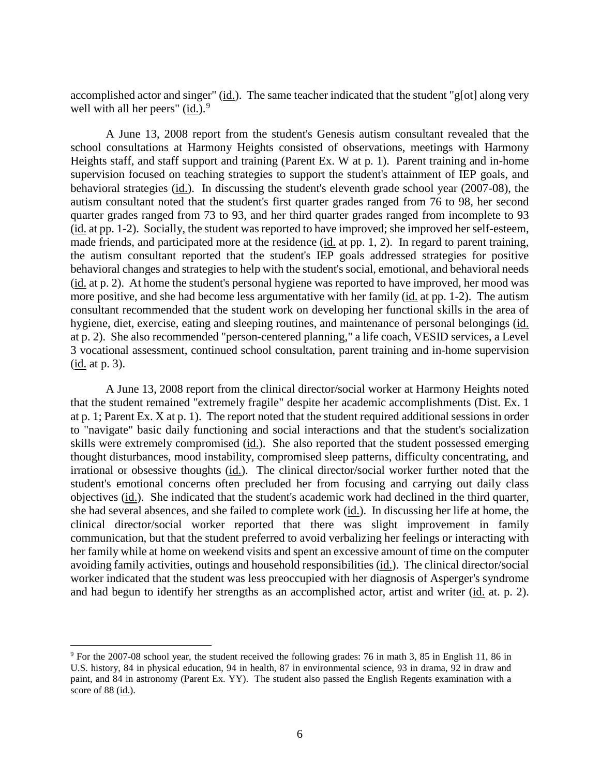accomplished actor and singer"  $(id)$ . The same teacher indicated that the student "g[ot] along very well with all her peers"  $(id.)$ <sup>9</sup>

A June 13, 2008 report from the student's Genesis autism consultant revealed that the school consultations at Harmony Heights consisted of observations, meetings with Harmony Heights staff, and staff support and training (Parent Ex. W at p. 1). Parent training and in-home supervision focused on teaching strategies to support the student's attainment of IEP goals, and behavioral strategies (id.). In discussing the student's eleventh grade school year (2007-08), the autism consultant noted that the student's first quarter grades ranged from 76 to 98, her second quarter grades ranged from 73 to 93, and her third quarter grades ranged from incomplete to 93 (id. at pp. 1-2). Socially, the student was reported to have improved; she improved her self-esteem, made friends, and participated more at the residence (id. at pp. 1, 2). In regard to parent training, the autism consultant reported that the student's IEP goals addressed strategies for positive behavioral changes and strategies to help with the student's social, emotional, and behavioral needs (id. at p. 2). At home the student's personal hygiene was reported to have improved, her mood was more positive, and she had become less argumentative with her family (id. at pp. 1-2). The autism consultant recommended that the student work on developing her functional skills in the area of hygiene, diet, exercise, eating and sleeping routines, and maintenance of personal belongings (id. at p. 2). She also recommended "person-centered planning," a life coach, VESID services, a Level 3 vocational assessment, continued school consultation, parent training and in-home supervision (id. at p. 3).

A June 13, 2008 report from the clinical director/social worker at Harmony Heights noted that the student remained "extremely fragile" despite her academic accomplishments (Dist. Ex. 1 at p. 1; Parent Ex. X at p. 1). The report noted that the student required additional sessions in order to "navigate" basic daily functioning and social interactions and that the student's socialization skills were extremely compromised (id.). She also reported that the student possessed emerging thought disturbances, mood instability, compromised sleep patterns, difficulty concentrating, and irrational or obsessive thoughts (id.). The clinical director/social worker further noted that the student's emotional concerns often precluded her from focusing and carrying out daily class objectives (id.). She indicated that the student's academic work had declined in the third quarter, she had several absences, and she failed to complete work (id.). In discussing her life at home, the clinical director/social worker reported that there was slight improvement in family communication, but that the student preferred to avoid verbalizing her feelings or interacting with her family while at home on weekend visits and spent an excessive amount of time on the computer avoiding family activities, outings and household responsibilities (id.). The clinical director/social worker indicated that the student was less preoccupied with her diagnosis of Asperger's syndrome and had begun to identify her strengths as an accomplished actor, artist and writer (id. at. p. 2).

 <sup>9</sup> For the 2007-08 school year, the student received the following grades: 76 in math 3, 85 in English 11, 86 in U.S. history, 84 in physical education, 94 in health, 87 in environmental science, 93 in drama, 92 in draw and paint, and 84 in astronomy (Parent Ex. YY). The student also passed the English Regents examination with a score of 88 (id.).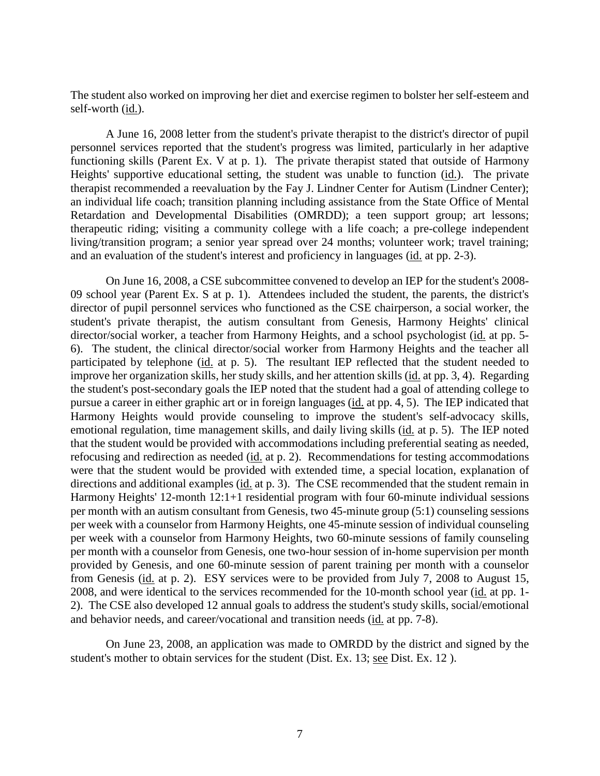The student also worked on improving her diet and exercise regimen to bolster her self-esteem and self-worth (id.).

A June 16, 2008 letter from the student's private therapist to the district's director of pupil personnel services reported that the student's progress was limited, particularly in her adaptive functioning skills (Parent Ex. V at p. 1). The private therapist stated that outside of Harmony Heights' supportive educational setting, the student was unable to function (id.). The private therapist recommended a reevaluation by the Fay J. Lindner Center for Autism (Lindner Center); an individual life coach; transition planning including assistance from the State Office of Mental Retardation and Developmental Disabilities (OMRDD); a teen support group; art lessons; therapeutic riding; visiting a community college with a life coach; a pre-college independent living/transition program; a senior year spread over 24 months; volunteer work; travel training; and an evaluation of the student's interest and proficiency in languages (id. at pp. 2-3).

On June 16, 2008, a CSE subcommittee convened to develop an IEP for the student's 2008- 09 school year (Parent Ex. S at p. 1). Attendees included the student, the parents, the district's director of pupil personnel services who functioned as the CSE chairperson, a social worker, the student's private therapist, the autism consultant from Genesis, Harmony Heights' clinical director/social worker, a teacher from Harmony Heights, and a school psychologist (id. at pp. 5- 6). The student, the clinical director/social worker from Harmony Heights and the teacher all participated by telephone (id. at p. 5). The resultant IEP reflected that the student needed to improve her organization skills, her study skills, and her attention skills (id. at pp. 3, 4). Regarding the student's post-secondary goals the IEP noted that the student had a goal of attending college to pursue a career in either graphic art or in foreign languages (id. at pp. 4, 5). The IEP indicated that Harmony Heights would provide counseling to improve the student's self-advocacy skills, emotional regulation, time management skills, and daily living skills (id. at p. 5). The IEP noted that the student would be provided with accommodations including preferential seating as needed, refocusing and redirection as needed (id. at p. 2). Recommendations for testing accommodations were that the student would be provided with extended time, a special location, explanation of directions and additional examples (id. at p. 3). The CSE recommended that the student remain in Harmony Heights' 12-month 12:1+1 residential program with four 60-minute individual sessions per month with an autism consultant from Genesis, two 45-minute group (5:1) counseling sessions per week with a counselor from Harmony Heights, one 45-minute session of individual counseling per week with a counselor from Harmony Heights, two 60-minute sessions of family counseling per month with a counselor from Genesis, one two-hour session of in-home supervision per month provided by Genesis, and one 60-minute session of parent training per month with a counselor from Genesis (id. at p. 2). ESY services were to be provided from July 7, 2008 to August 15, 2008, and were identical to the services recommended for the 10-month school year (id. at pp. 1- 2). The CSE also developed 12 annual goals to address the student's study skills, social/emotional and behavior needs, and career/vocational and transition needs (id. at pp. 7-8).

On June 23, 2008, an application was made to OMRDD by the district and signed by the student's mother to obtain services for the student (Dist. Ex. 13; see Dist. Ex. 12 ).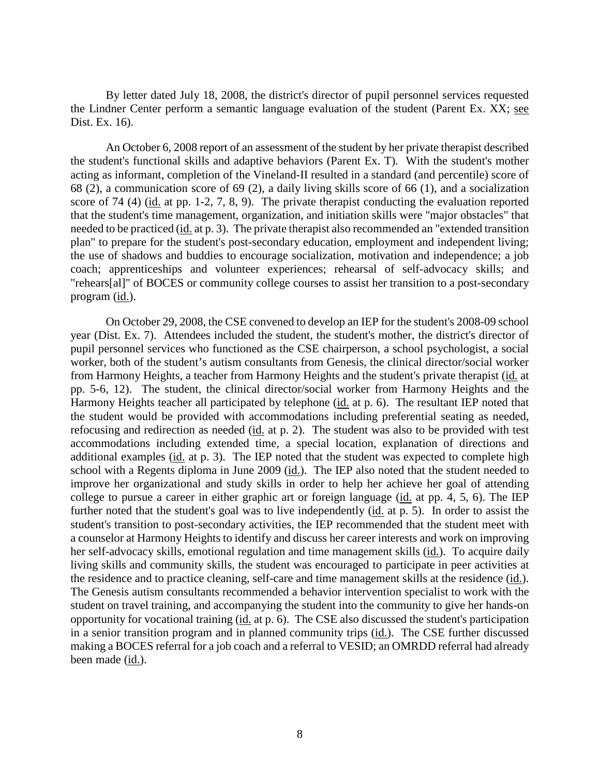By letter dated July 18, 2008, the district's director of pupil personnel services requested the Lindner Center perform a semantic language evaluation of the student (Parent Ex. XX; see Dist. Ex. 16).

An October 6, 2008 report of an assessment of the student by her private therapist described the student's functional skills and adaptive behaviors (Parent Ex. T). With the student's mother acting as informant, completion of the Vineland-II resulted in a standard (and percentile) score of 68 (2), a communication score of 69 (2), a daily living skills score of 66 (1), and a socialization score of 74 (4) (id. at pp. 1-2, 7, 8, 9). The private therapist conducting the evaluation reported that the student's time management, organization, and initiation skills were "major obstacles" that needed to be practiced (id. at p. 3). The private therapist also recommended an "extended transition plan" to prepare for the student's post-secondary education, employment and independent living; the use of shadows and buddies to encourage socialization, motivation and independence; a job coach; apprenticeships and volunteer experiences; rehearsal of self-advocacy skills; and "rehears[al]" of BOCES or community college courses to assist her transition to a post-secondary program (id.).

On October 29, 2008, the CSE convened to develop an IEP for the student's 2008-09 school year (Dist. Ex. 7). Attendees included the student, the student's mother, the district's director of pupil personnel services who functioned as the CSE chairperson, a school psychologist, a social worker, both of the student's autism consultants from Genesis, the clinical director/social worker from Harmony Heights, a teacher from Harmony Heights and the student's private therapist (id. at pp. 5-6, 12). The student, the clinical director/social worker from Harmony Heights and the Harmony Heights teacher all participated by telephone (id. at p. 6). The resultant IEP noted that the student would be provided with accommodations including preferential seating as needed, refocusing and redirection as needed (id. at p. 2). The student was also to be provided with test accommodations including extended time, a special location, explanation of directions and additional examples (id. at p. 3). The IEP noted that the student was expected to complete high school with a Regents diploma in June 2009 (id.). The IEP also noted that the student needed to improve her organizational and study skills in order to help her achieve her goal of attending college to pursue a career in either graphic art or foreign language (id. at pp. 4, 5, 6). The IEP further noted that the student's goal was to live independently (id. at p. 5). In order to assist the student's transition to post-secondary activities, the IEP recommended that the student meet with a counselor at Harmony Heights to identify and discuss her career interests and work on improving her self-advocacy skills, emotional regulation and time management skills (id.). To acquire daily living skills and community skills, the student was encouraged to participate in peer activities at the residence and to practice cleaning, self-care and time management skills at the residence (id.). The Genesis autism consultants recommended a behavior intervention specialist to work with the student on travel training, and accompanying the student into the community to give her hands-on opportunity for vocational training (id. at p. 6). The CSE also discussed the student's participation in a senior transition program and in planned community trips (id.). The CSE further discussed making a BOCES referral for a job coach and a referral to VESID; an OMRDD referral had already been made (id.).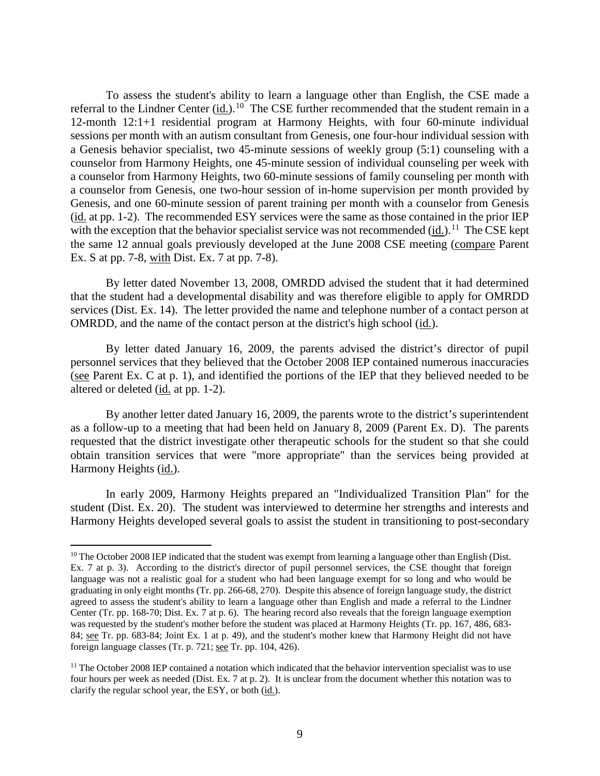To assess the student's ability to learn a language other than English, the CSE made a referral to the Lindner Center  $(id.)$  <sup>10</sup> The CSE further recommended that the student remain in a 12-month 12:1+1 residential program at Harmony Heights, with four 60-minute individual sessions per month with an autism consultant from Genesis, one four-hour individual session with a Genesis behavior specialist, two 45-minute sessions of weekly group (5:1) counseling with a counselor from Harmony Heights, one 45-minute session of individual counseling per week with a counselor from Harmony Heights, two 60-minute sessions of family counseling per month with a counselor from Genesis, one two-hour session of in-home supervision per month provided by Genesis, and one 60-minute session of parent training per month with a counselor from Genesis (id. at pp. 1-2).The recommended ESY services were the same as those contained in the prior IEP with the exception that the behavior specialist service was not recommended (id.).<sup>11</sup> The CSE kept the same 12 annual goals previously developed at the June 2008 CSE meeting (compare Parent Ex. S at pp. 7-8, with Dist. Ex. 7 at pp. 7-8).

By letter dated November 13, 2008, OMRDD advised the student that it had determined that the student had a developmental disability and was therefore eligible to apply for OMRDD services (Dist. Ex. 14). The letter provided the name and telephone number of a contact person at OMRDD, and the name of the contact person at the district's high school (id.).

By letter dated January 16, 2009, the parents advised the district's director of pupil personnel services that they believed that the October 2008 IEP contained numerous inaccuracies (see Parent Ex. C at p. 1), and identified the portions of the IEP that they believed needed to be altered or deleted (id. at pp. 1-2).

By another letter dated January 16, 2009, the parents wrote to the district's superintendent as a follow-up to a meeting that had been held on January 8, 2009 (Parent Ex. D). The parents requested that the district investigate other therapeutic schools for the student so that she could obtain transition services that were "more appropriate" than the services being provided at Harmony Heights (id.).

In early 2009, Harmony Heights prepared an "Individualized Transition Plan" for the student (Dist. Ex. 20). The student was interviewed to determine her strengths and interests and Harmony Heights developed several goals to assist the student in transitioning to post-secondary

 $10$  The October 2008 IEP indicated that the student was exempt from learning a language other than English (Dist. Ex. 7 at p. 3). According to the district's director of pupil personnel services, the CSE thought that foreign language was not a realistic goal for a student who had been language exempt for so long and who would be graduating in only eight months (Tr. pp. 266-68, 270). Despite this absence of foreign language study, the district agreed to assess the student's ability to learn a language other than English and made a referral to the Lindner Center (Tr. pp. 168-70; Dist. Ex. 7 at p. 6). The hearing record also reveals that the foreign language exemption was requested by the student's mother before the student was placed at Harmony Heights (Tr. pp. 167, 486, 683- 84; see Tr. pp. 683-84; Joint Ex. 1 at p. 49), and the student's mother knew that Harmony Height did not have foreign language classes (Tr. p. 721; see Tr. pp. 104, 426).

 $11$  The October 2008 IEP contained a notation which indicated that the behavior intervention specialist was to use four hours per week as needed (Dist. Ex. 7 at p. 2). It is unclear from the document whether this notation was to clarify the regular school year, the ESY, or both (id.).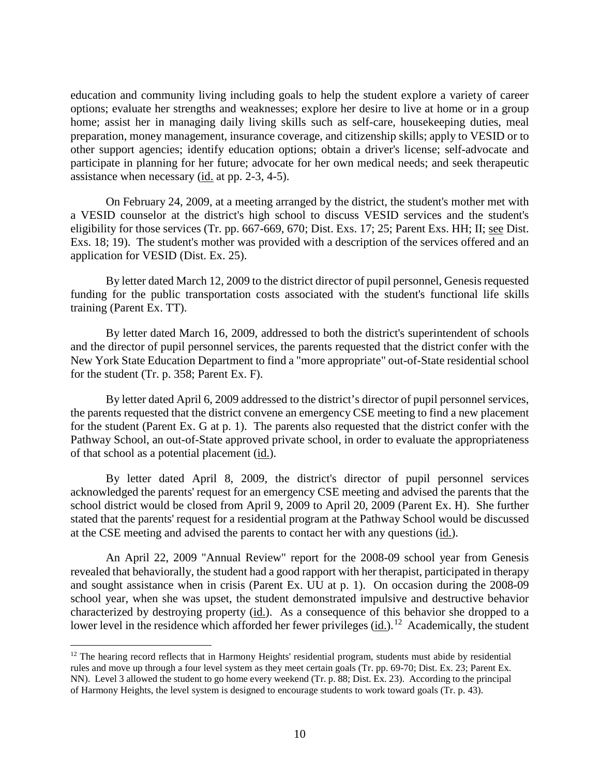education and community living including goals to help the student explore a variety of career options; evaluate her strengths and weaknesses; explore her desire to live at home or in a group home; assist her in managing daily living skills such as self-care, house keeping duties, meal preparation, money management, insurance coverage, and citizenship skills; apply to VESID or to other support agencies; identify education options; obtain a driver's license; self-advocate and participate in planning for her future; advocate for her own medical needs; and seek therapeutic assistance when necessary (id. at pp. 2-3, 4-5).

On February 24, 2009, at a meeting arranged by the district, the student's mother met with a VESID counselor at the district's high school to discuss VESID services and the student's eligibility for those services (Tr. pp. 667-669, 670; Dist. Exs. 17; 25; Parent Exs. HH; II; see Dist. Exs. 18; 19). The student's mother was provided with a description of the services offered and an application for VESID (Dist. Ex. 25).

By letter dated March 12, 2009 to the district director of pupil personnel, Genesis requested funding for the public transportation costs associated with the student's functional life skills training (Parent Ex. TT).

By letter dated March 16, 2009, addressed to both the district's superintendent of schools and the director of pupil personnel services, the parents requested that the district confer with the New York State Education Department to find a "more appropriate" out-of-State residential school for the student (Tr. p. 358; Parent Ex. F).

By letter dated April 6, 2009 addressed to the district's director of pupil personnel services, the parents requested that the district convene an emergency CSE meeting to find a new placement for the student (Parent Ex. G at p. 1). The parents also requested that the district confer with the Pathway School, an out-of-State approved private school, in order to evaluate the appropriateness of that school as a potential placement (id.).

By letter dated April 8, 2009, the district's director of pupil personnel services acknowledged the parents' request for an emergency CSE meeting and advised the parents that the school district would be closed from April 9, 2009 to April 20, 2009 (Parent Ex. H). She further stated that the parents' request for a residential program at the Pathway School would be discussed at the CSE meeting and advised the parents to contact her with any questions (id.).

An April 22, 2009 "Annual Review" report for the 2008-09 school year from Genesis revealed that behaviorally, the student had a good rapport with her therapist, participated in therapy and sought assistance when in crisis (Parent Ex. UU at p. 1). On occasion during the 2008-09 school year, when she was upset, the student demonstrated impulsive and destructive behavior characterized by destroying property (id.). As a consequence of this behavior she dropped to a lower level in the residence which afforded her fewer privileges (id.).<sup>12</sup> Academically, the student

<sup>&</sup>lt;sup>12</sup> The hearing record reflects that in Harmony Heights' residential program, students must abide by residential rules and move up through a four level system as they meet certain goals (Tr. pp. 69-70; Dist. Ex. 23; Parent Ex. NN). Level 3 allowed the student to go home every weekend (Tr. p. 88; Dist. Ex. 23). According to the principal of Harmony Heights, the level system is designed to encourage students to work toward goals (Tr. p. 43).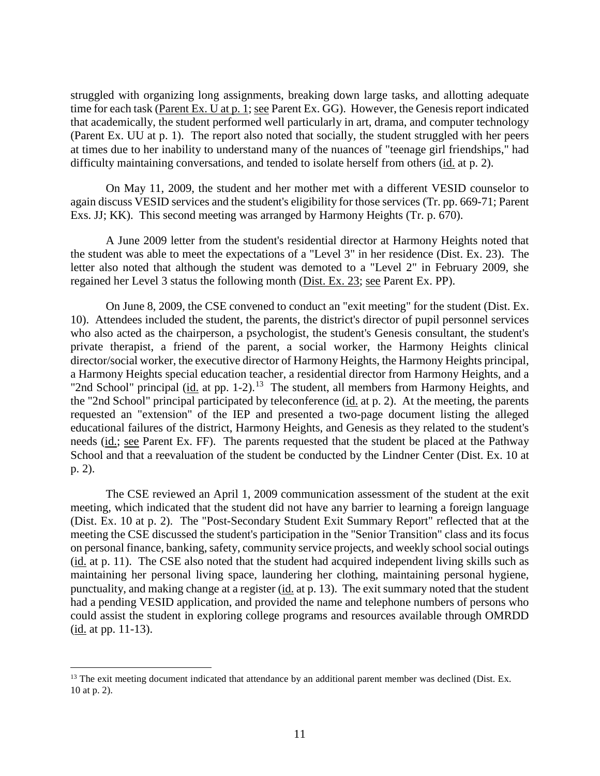struggled with organizing long assignments, breaking down large tasks, and allotting adequate time for each task (Parent Ex. U at p. 1; see Parent Ex. GG). However, the Genesis report indicated that academically, the student performed well particularly in art, drama, and computer technology (Parent Ex. UU at p. 1). The report also noted that socially, the student struggled with her peers at times due to her inability to understand many of the nuances of "teenage girl friendships," had difficulty maintaining conversations, and tended to isolate herself from others (id. at p. 2).

On May 11, 2009, the student and her mother met with a different VESID counselor to again discuss VESID services and the student's eligibility for those services (Tr. pp. 669-71; Parent Exs. JJ; KK). This second meeting was arranged by Harmony Heights (Tr. p. 670).

A June 2009 letter from the student's residential director at Harmony Heights noted that the student was able to meet the expectations of a "Level 3" in her residence (Dist. Ex. 23). The letter also noted that although the student was demoted to a "Level 2" in February 2009, she regained her Level 3 status the following month (Dist. Ex. 23; see Parent Ex. PP).

On June 8, 2009, the CSE convened to conduct an "exit meeting" for the student (Dist. Ex. 10). Attendees included the student, the parents, the district's director of pupil personnel services who also acted as the chairperson, a psychologist, the student's Genesis consultant, the student's private therapist, a friend of the parent, a social worker, the Harmony Heights clinical director/social worker, the executive director of Harmony Heights, the Harmony Heights principal, a Harmony Heights special education teacher, a residential director from Harmony Heights, and a "2nd School" principal (id. at pp.  $1-2$ ).<sup>13</sup> The student, all members from Harmony Heights, and the "2nd School" principal participated by teleconference (id. at p. 2). At the meeting, the parents requested an "extension" of the IEP and presented a two-page document listing the alleged educational failures of the district, Harmony Heights, and Genesis as they related to the student's needs (id.; see Parent Ex. FF). The parents requested that the student be placed at the Pathway School and that a reevaluation of the student be conducted by the Lindner Center (Dist. Ex. 10 at p. 2).

The CSE reviewed an April 1, 2009 communication assessment of the student at the exit meeting, which indicated that the student did not have any barrier to learning a foreign language (Dist. Ex. 10 at p. 2). The "Post-Secondary Student Exit Summary Report" reflected that at the meeting the CSE discussed the student's participation in the "Senior Transition" class and its focus on personal finance, banking, safety, community service projects, and weekly school social outings (id. at p. 11). The CSE also noted that the student had acquired independent living skills such as maintaining her personal living space, laundering her clothing, maintaining personal hygiene, punctuality, and making change at a register (id. at p. 13). The exit summary noted that the student had a pending VESID application, and provided the name and telephone numbers of persons who could assist the student in exploring college programs and resources available through OMRDD (id. at pp. 11-13).

<sup>&</sup>lt;sup>13</sup> The exit meeting document indicated that attendance by an additional parent member was declined (Dist. Ex. 10 at p. 2).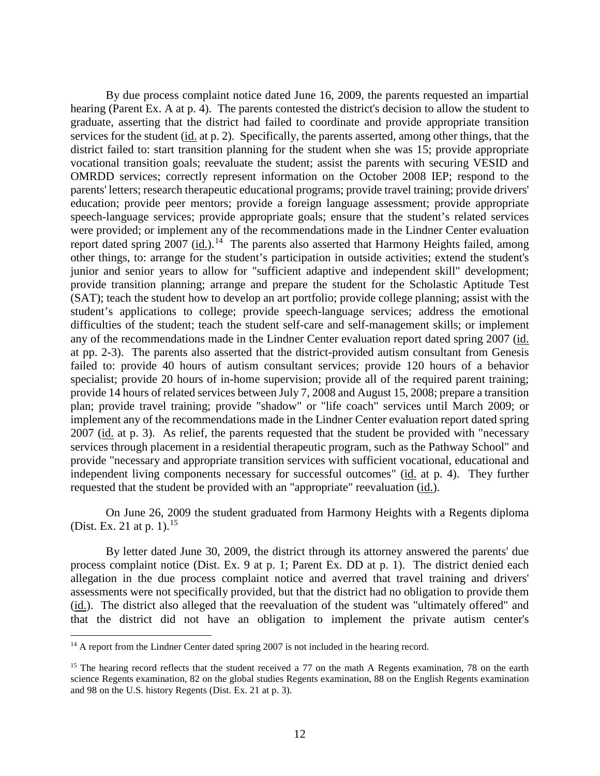By due process complaint notice dated June 16, 2009, the parents requested an impartial hearing (Parent Ex. A at p. 4). The parents contested the district's decision to allow the student to graduate, asserting that the district had failed to coordinate and provide appropriate transition services for the student (id. at p. 2). Specifically, the parents asserted, among other things, that the district failed to: start transition planning for the student when she was 15; provide appropriate vocational transition goals; reevaluate the student; assist the parents with securing VESID and OMRDD services; correctly represent information on the October 2008 IEP; respond to the parents' letters; research therapeutic educational programs; provide travel training; provide drivers' education; provide peer mentors; provide a foreign language assessment; provide appropriate speech-language services; provide appropriate goals; ensure that the student's related services were provided; or implement any of the recommendations made in the Lindner Center evaluation report dated spring  $2007$  (id.).<sup>14</sup> The parents also asserted that Harmony Heights failed, among other things, to: arrange for the student's participation in outside activities; extend the student's junior and senior years to allow for "sufficient adaptive and independent skill" development; provide transition planning; arrange and prepare the student for the Scholastic Aptitude Test (SAT); teach the student how to develop an art portfolio; provide college planning; assist with the student's applications to college; provide speech-language services; address the emotional difficulties of the student; teach the student self-care and self-management skills; or implement any of the recommendations made in the Lindner Center evaluation report dated spring 2007 (id. at pp. 2-3). The parents also asserted that the district-provided autism consultant from Genesis failed to: provide 40 hours of autism consultant services; provide 120 hours of a behavior specialist; provide 20 hours of in-home supervision; provide all of the required parent training; provide 14 hours of related services between July 7, 2008 and August 15, 2008; prepare a transition plan; provide travel training; provide "shadow" or "life coach" services until March 2009; or implement any of the recommendations made in the Lindner Center evaluation report dated spring 2007 (id. at p. 3). As relief, the parents requested that the student be provided with "necessary services through placement in a residential therapeutic program, such as the Pathway School" and provide "necessary and appropriate transition services with sufficient vocational, educational and independent living components necessary for successful outcomes" (id. at p. 4). They further requested that the student be provided with an "appropriate" reevaluation (id.).

On June 26, 2009 the student graduated from Harmony Heights with a Regents diploma (Dist. Ex. 21 at p. 1).<sup>15</sup>

By letter dated June 30, 2009, the district through its attorney answered the parents' due process complaint notice (Dist. Ex. 9 at p. 1; Parent Ex. DD at p. 1). The district denied each allegation in the due process complaint notice and averred that travel training and drivers' assessments were not specifically provided, but that the district had no obligation to provide them (id.). The district also alleged that the reevaluation of the student was "ultimately offered" and that the district did not have an obligation to implement the private autism center's

<sup>&</sup>lt;sup>14</sup> A report from the Lindner Center dated spring 2007 is not included in the hearing record.

<sup>&</sup>lt;sup>15</sup> The hearing record reflects that the student received a 77 on the math A Regents examination, 78 on the earth science Regents examination, 82 on the global studies Regents examination, 88 on the English Regents examination and 98 on the U.S. history Regents (Dist. Ex. 21 at p. 3).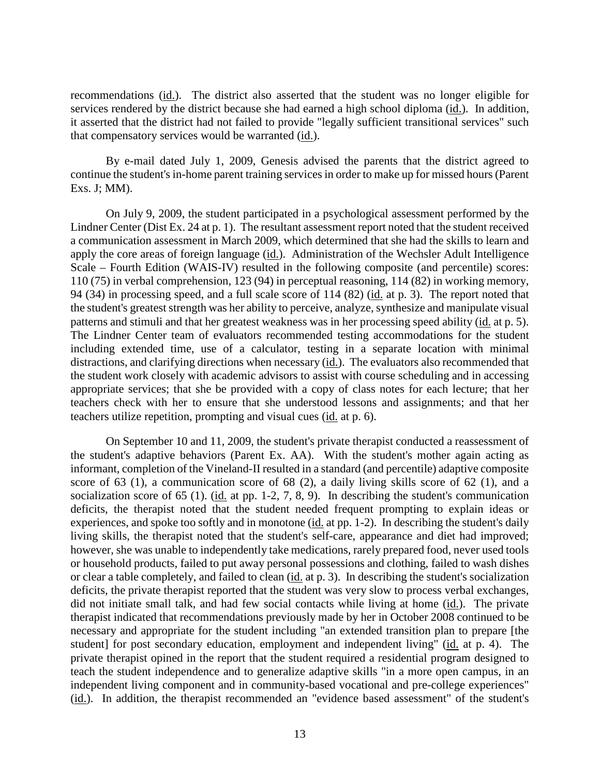recommendations (id.). The district also asserted that the student was no longer eligible for services rendered by the district because she had earned a high school diploma (id.). In addition, it asserted that the district had not failed to provide "legally sufficient transitional services" such that compensatory services would be warranted (id.).

By e-mail dated July 1, 2009, Genesis advised the parents that the district agreed to continue the student's in-home parent training services in order to make up for missed hours (Parent Exs. J; MM).

On July 9, 2009, the student participated in a psychological assessment performed by the Lindner Center (Dist Ex. 24 at p. 1). The resultant assessment report noted that the student received a communication assessment in March 2009, which determined that she had the skills to learn and apply the core areas of foreign language (id.). Administration of the Wechsler Adult Intelligence Scale – Fourth Edition (WAIS-IV) resulted in the following composite (and percentile) scores: 110 (75) in verbal comprehension, 123 (94) in perceptual reasoning, 114 (82) in working memory, 94 (34) in processing speed, and a full scale score of 114 (82) (id. at p. 3). The report noted that the student's greatest strength was her ability to perceive, analyze, synthesize and manipulate visual patterns and stimuli and that her greatest weakness was in her processing speed ability (id. at p. 5). The Lindner Center team of evaluators recommended testing accommodations for the student including extended time, use of a calculator, testing in a separate location with minimal distractions, and clarifying directions when necessary (id.). The evaluators also recommended that the student work closely with academic advisors to assist with course scheduling and in accessing appropriate services; that she be provided with a copy of class notes for each lecture; that her teachers check with her to ensure that she understood lessons and assignments; and that her teachers utilize repetition, prompting and visual cues (id. at p. 6).

On September 10 and 11, 2009, the student's private therapist conducted a reassessment of the student's adaptive behaviors (Parent Ex. AA). With the student's mother again acting as informant, completion of the Vineland-II resulted in a standard (and percentile) adaptive composite score of 63 (1), a communication score of 68 (2), a daily living skills score of 62 (1), and a socialization score of 65 (1). (id. at pp. 1-2, 7, 8, 9). In describing the student's communication deficits, the therapist noted that the student needed frequent prompting to explain ideas or experiences, and spoke too softly and in monotone (id. at pp. 1-2). In describing the student's daily living skills, the therapist noted that the student's self-care, appearance and diet had improved; however, she was unable to independently take medications, rarely prepared food, never used tools or household products, failed to put away personal possessions and clothing, failed to wash dishes or clear a table completely, and failed to clean (id. at p. 3). In describing the student's socialization deficits, the private therapist reported that the student was very slow to process verbal exchanges, did not initiate small talk, and had few social contacts while living at home (id.). The private therapist indicated that recommendations previously made by her in October 2008 continued to be necessary and appropriate for the student including "an extended transition plan to prepare [the student] for post secondary education, employment and independent living" (id. at p. 4). The private therapist opined in the report that the student required a residential program designed to teach the student independence and to generalize adaptive skills "in a more open campus, in an independent living component and in community-based vocational and pre-college experiences" (id.). In addition, the therapist recommended an "evidence based assessment" of the student's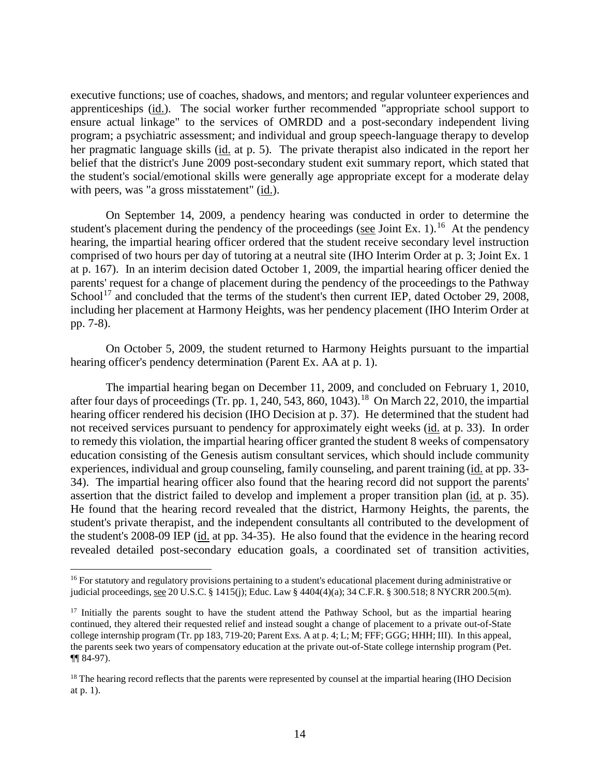executive functions; use of coaches, shadows, and mentors; and regular volunteer experiences and apprenticeships (id.). The social worker further recommended "appropriate school support to ensure actual linkage" to the services of OMRDD and a post-secondary independent living program; a psychiatric assessment; and individual and group speech-language therapy to develop her pragmatic language skills (id. at p. 5). The private therapist also indicated in the report her belief that the district's June 2009 post-secondary student exit summary report, which stated that the student's social/emotional skills were generally age appropriate except for a moderate delay with peers, was "a gross misstatement" (id.).

On September 14, 2009, a pendency hearing was conducted in order to determine the student's placement during the pendency of the proceedings (see Joint Ex. 1).<sup>16</sup> At the pendency hearing, the impartial hearing officer ordered that the student receive secondary level instruction comprised of two hours per day of tutoring at a neutral site (IHO Interim Order at p. 3; Joint Ex. 1 at p. 167). In an interim decision dated October 1, 2009, the impartial hearing officer denied the parents' request for a change of placement during the pendency of the proceedings to the Pathway School<sup>17</sup> and concluded that the terms of the student's then current IEP, dated October 29, 2008, including her placement at Harmony Heights, was her pendency placement (IHO Interim Order at pp. 7-8).

On October 5, 2009, the student returned to Harmony Heights pursuant to the impartial hearing officer's pendency determination (Parent Ex. AA at p. 1).

The impartial hearing began on December 11, 2009, and concluded on February 1, 2010, after four days of proceedings (Tr. pp. 1, 240, 543, 860, 1043).<sup>18</sup> On March 22, 2010, the impartial hearing officer rendered his decision (IHO Decision at p. 37). He determined that the student had not received services pursuant to pendency for approximately eight weeks (id. at p. 33). In order to remedy this violation, the impartial hearing officer granted the student 8 weeks of compensatory education consisting of the Genesis autism consultant services, which should include community experiences, individual and group counseling, family counseling, and parent training (id. at pp. 33-34). The impartial hearing officer also found that the hearing record did not support the parents' assertion that the district failed to develop and implement a proper transition plan (id. at p. 35). He found that the hearing record revealed that the district, Harmony Heights, the parents, the student's private therapist, and the independent consultants all contributed to the development of the student's 2008-09 IEP (id. at pp. 34-35). He also found that the evidence in the hearing record revealed detailed post-secondary education goals, a coordinated set of transition activities,

<sup>&</sup>lt;sup>16</sup> For statutory and regulatory provisions pertaining to a student's educational placement during administrative or judicial proceedings, see 20 U.S.C. § 1415(j); Educ. Law § 4404(4)(a); 34 C.F.R. § 300.518; 8 NYCRR 200.5(m).

 $17$  Initially the parents sought to have the student attend the Pathway School, but as the impartial hearing continued, they altered their requested relief and instead sought a change of placement to a private out-of-State college internship program (Tr. pp 183, 719-20; Parent Exs. A at p. 4; L; M; FFF; GGG; HHH; III). In this appeal, the parents seek two years of compensatory education at the private out-of-State college internship program (Pet. ¶¶ 84-97).

<sup>&</sup>lt;sup>18</sup> The hearing record reflects that the parents were represented by counsel at the impartial hearing (IHO Decision at p. 1).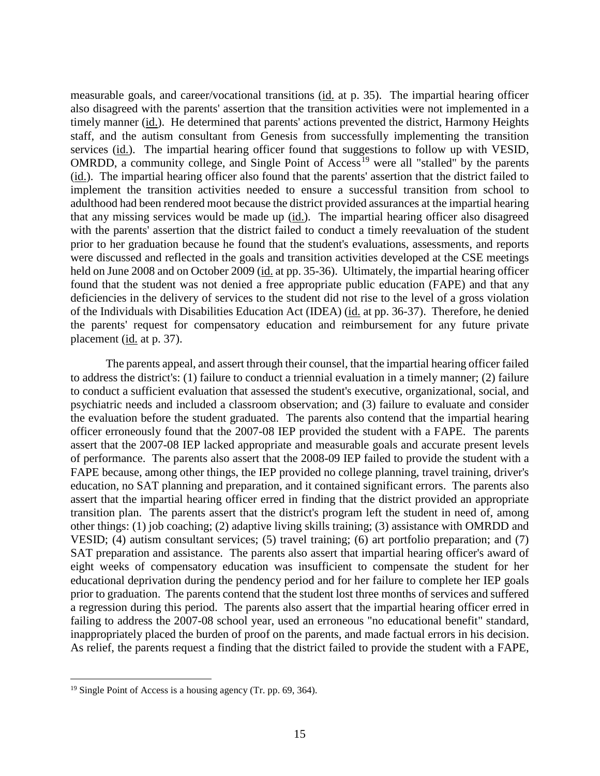measurable goals, and career/vocational transitions (id. at p. 35). The impartial hearing officer also disagreed with the parents' assertion that the transition activities were not implemented in a timely manner (id.). He determined that parents' actions prevented the district, Harmony Heights staff, and the autism consultant from Genesis from successfully implementing the transition services (id.). The impartial hearing officer found that suggestions to follow up with VESID, OMRDD, a community college, and Single Point of  $Access^{19}$  were all "stalled" by the parents (id.). The impartial hearing officer also found that the parents' assertion that the district failed to implement the transition activities needed to ensure a successful transition from school to adulthood had been rendered moot because the district provided assurances at the impartial hearing that any missing services would be made up  $(id)$ . The impartial hearing officer also disagreed with the parents' assertion that the district failed to conduct a timely reevaluation of the student prior to her graduation because he found that the student's evaluations, assessments, and reports were discussed and reflected in the goals and transition activities developed at the CSE meetings held on June 2008 and on October 2009 (id. at pp. 35-36). Ultimately, the impartial hearing officer found that the student was not denied a free appropriate public education (FAPE) and that any deficiencies in the delivery of services to the student did not rise to the level of a gross violation of the Individuals with Disabilities Education Act (IDEA) (id. at pp. 36-37). Therefore, he denied the parents' request for compensatory education and reimbursement for any future private placement (id. at p. 37).

The parents appeal, and assert through their counsel, that the impartial hearing officer failed to address the district's: (1) failure to conduct a triennial evaluation in a timely manner; (2) failure to conduct a sufficient evaluation that assessed the student's executive, organizational, social, and psychiatric needs and included a classroom observation; and (3) failure to evaluate and consider the evaluation before the student graduated. The parents also contend that the impartial hearing officer erroneously found that the 2007-08 IEP provided the student with a FAPE. The parents assert that the 2007-08 IEP lacked appropriate and measurable goals and accurate present levels of performance. The parents also assert that the 2008-09 IEP failed to provide the student with a FAPE because, among other things, the IEP provided no college planning, travel training, driver's education, no SAT planning and preparation, and it contained significant errors. The parents also assert that the impartial hearing officer erred in finding that the district provided an appropriate transition plan. The parents assert that the district's program left the student in need of, among other things: (1) job coaching; (2) adaptive living skills training; (3) assistance with OMRDD and VESID; (4) autism consultant services; (5) travel training; (6) art portfolio preparation; and (7) SAT preparation and assistance. The parents also assert that impartial hearing officer's award of eight weeks of compensatory education was insufficient to compensate the student for her educational deprivation during the pendency period and for her failure to complete her IEP goals prior to graduation. The parents contend that the student lost three months of services and suffered a regression during this period. The parents also assert that the impartial hearing officer erred in failing to address the 2007-08 school year, used an erroneous "no educational benefit" standard, inappropriately placed the burden of proof on the parents, and made factual errors in his decision. As relief, the parents request a finding that the district failed to provide the student with a FAPE,

<sup>&</sup>lt;sup>19</sup> Single Point of Access is a housing agency (Tr. pp. 69, 364).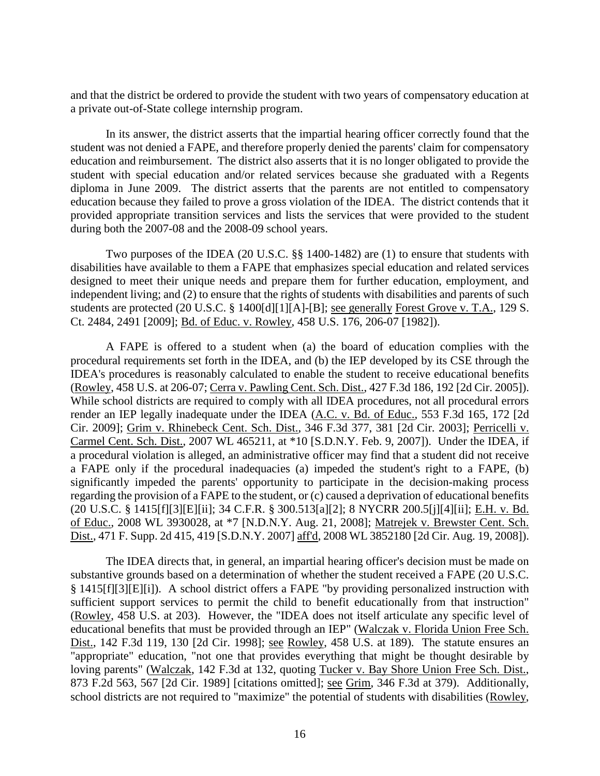and that the district be ordered to provide the student with two years of compensatory education at a private out-of-State college internship program.

In its answer, the district asserts that the impartial hearing officer correctly found that the student was not denied a FAPE, and therefore properly denied the parents' claim for compensatory education and reimbursement. The district also asserts that it is no longer obligated to provide the student with special education and/or related services because she graduated with a Regents diploma in June 2009. The district asserts that the parents are not entitled to compensatory education because they failed to prove a gross violation of the IDEA. The district contends that it provided appropriate transition services and lists the services that were provided to the student during both the 2007-08 and the 2008-09 school years.

Two purposes of the IDEA (20 U.S.C. §§ 1400-1482) are (1) to ensure that students with disabilities have available to them a FAPE that emphasizes special education and related services designed to meet their unique needs and prepare them for further education, employment, and independent living; and (2) to ensure that the rights of students with disabilities and parents of such students are protected (20 U.S.C. § 1400[d][1][A]-[B]; see generally Forest Grove v. T.A., 129 S. Ct. 2484, 2491 [2009]; Bd. of Educ. v. Rowley, 458 U.S. 176, 206-07 [1982]).

A FAPE is offered to a student when (a) the board of education complies with the procedural requirements set forth in the IDEA, and (b) the IEP developed by its CSE through the IDEA's procedures is reasonably calculated to enable the student to receive educational benefits (Rowley, 458 U.S. at 206-07; Cerra v. Pawling Cent. Sch. Dist., 427 F.3d 186, 192 [2d Cir. 2005]). While school districts are required to comply with all IDEA procedures, not all procedural errors render an IEP legally inadequate under the IDEA (A.C. v. Bd. of Educ., 553 F.3d 165, 172 [2d Cir. 2009]; Grim v. Rhinebeck Cent. Sch. Dist., 346 F.3d 377, 381 [2d Cir. 2003]; Perricelli v. Carmel Cent. Sch. Dist., 2007 WL 465211, at \*10 [S.D.N.Y. Feb. 9, 2007]). Under the IDEA, if a procedural violation is alleged, an administrative officer may find that a student did not receive a FAPE only if the procedural inadequacies (a) impeded the student's right to a FAPE, (b) significantly impeded the parents' opportunity to participate in the decision-making process regarding the provision of a FAPE to the student, or (c) caused a deprivation of educational benefits (20 U.S.C. § 1415[f][3][E][ii]; 34 C.F.R. § 300.513[a][2]; 8 NYCRR 200.5[j][4][ii]; E.H. v. Bd. of Educ., 2008 WL 3930028, at \*7 [N.D.N.Y. Aug. 21, 2008]; Matrejek v. Brewster Cent. Sch. Dist., 471 F. Supp. 2d 415, 419 [S.D.N.Y. 2007] aff'd, 2008 WL 3852180 [2d Cir. Aug. 19, 2008]).

The IDEA directs that, in general, an impartial hearing officer's decision must be made on substantive grounds based on a determination of whether the student received a FAPE (20 U.S.C. § 1415[f][3][E][i]). A school district offers a FAPE "by providing personalized instruction with sufficient support services to permit the child to benefit educationally from that instruction" (Rowley, 458 U.S. at 203). However, the "IDEA does not itself articulate any specific level of educational benefits that must be provided through an IEP" (Walczak v. Florida Union Free Sch. Dist., 142 F.3d 119, 130 [2d Cir. 1998]; see Rowley, 458 U.S. at 189). The statute ensures an "appropriate" education, "not one that provides everything that might be thought desirable by loving parents" (Walczak, 142 F.3d at 132, quoting Tucker v. Bay Shore Union Free Sch. Dist., 873 F.2d 563, 567 [2d Cir. 1989] [citations omitted]; see Grim, 346 F.3d at 379). Additionally, school districts are not required to "maximize" the potential of students with disabilities (Rowley,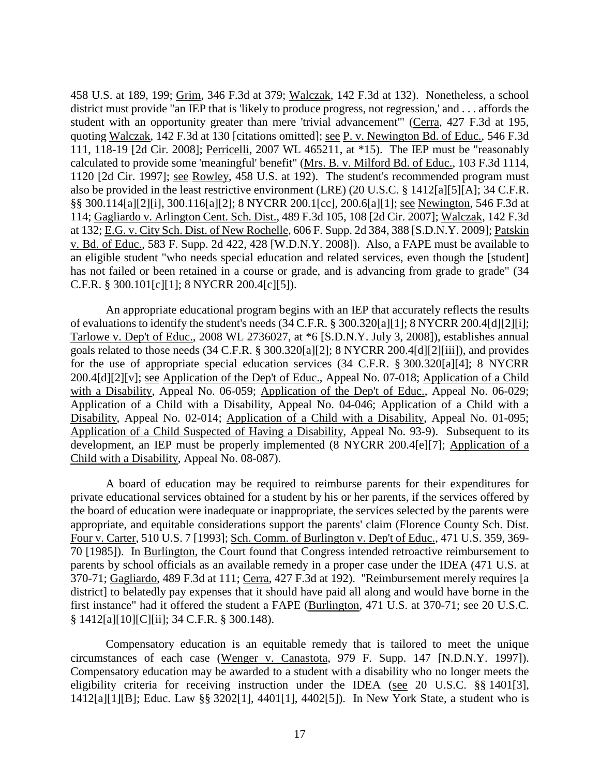458 U.S. at 189, 199; Grim, 346 F.3d at 379; Walczak, 142 F.3d at 132). Nonetheless, a school district must provide "an IEP that is 'likely to produce progress, not regression,' and . . . affords the student with an opportunity greater than mere 'trivial advancement'" (Cerra, 427 F.3d at 195, quoting Walczak, 142 F.3d at 130 [citations omitted]; see P. v. Newington Bd. of Educ., 546 F.3d 111, 118-19 [2d Cir. 2008]; Perricelli, 2007 WL 465211, at \*15). The IEP must be "reasonably calculated to provide some 'meaningful' benefit" (Mrs. B. v. Milford Bd. of Educ., 103 F.3d 1114, 1120 [2d Cir. 1997]; see Rowley, 458 U.S. at 192). The student's recommended program must also be provided in the least restrictive environment (LRE) (20 U.S.C. § 1412[a][5][A]; 34 C.F.R. §§ 300.114[a][2][i], 300.116[a][2]; 8 NYCRR 200.1[cc], 200.6[a][1]; see Newington, 546 F.3d at 114; Gagliardo v. Arlington Cent. Sch. Dist., 489 F.3d 105, 108 [2d Cir. 2007]; Walczak, 142 F.3d at 132; E.G. v. City Sch. Dist. of New Rochelle, 606 F. Supp. 2d 384, 388 [S.D.N.Y. 2009]; Patskin v. Bd. of Educ., 583 F. Supp. 2d 422, 428 [W.D.N.Y. 2008]). Also, a FAPE must be available to an eligible student "who needs special education and related services, even though the [student] has not failed or been retained in a course or grade, and is advancing from grade to grade" (34 C.F.R. § 300.101[c][1]; 8 NYCRR 200.4[c][5]).

An appropriate educational program begins with an IEP that accurately reflects the results of evaluations to identify the student's needs (34 C.F.R. § 300.320[a][1]; 8 NYCRR 200.4[d][2][i]; Tarlowe v. Dep't of Educ., 2008 WL 2736027, at \*6 [S.D.N.Y. July 3, 2008]), establishes annual goals related to those needs (34 C.F.R. § 300.320[a][2]; 8 NYCRR 200.4[d][2][iii]), and provides for the use of appropriate special education services (34 C.F.R. § 300.320[a][4]; 8 NYCRR 200.4[d][2][v]; see Application of the Dep't of Educ., Appeal No. 07-018; Application of a Child with a Disability, Appeal No. 06-059; Application of the Dep't of Educ., Appeal No. 06-029; Application of a Child with a Disability, Appeal No. 04-046; Application of a Child with a Disability, Appeal No. 02-014; Application of a Child with a Disability, Appeal No. 01-095; Application of a Child Suspected of Having a Disability, Appeal No. 93-9). Subsequent to its development, an IEP must be properly implemented (8 NYCRR 200.4[e][7]; Application of a Child with a Disability, Appeal No. 08-087).

A board of education may be required to reimburse parents for their expenditures for private educational services obtained for a student by his or her parents, if the services offered by the board of education were inadequate or inappropriate, the services selected by the parents were appropriate, and equitable considerations support the parents' claim (Florence County Sch. Dist. Four v. Carter, 510 U.S. 7 [1993]; Sch. Comm. of Burlington v. Dep't of Educ., 471 U.S. 359, 369- 70 [1985]). In Burlington, the Court found that Congress intended retroactive reimbursement to parents by school officials as an available remedy in a proper case under the IDEA (471 U.S. at 370-71; Gagliardo, 489 F.3d at 111; Cerra, 427 F.3d at 192). "Reimbursement merely requires [a district] to belatedly pay expenses that it should have paid all along and would have borne in the first instance" had it offered the student a FAPE (Burlington, 471 U.S. at 370-71; see 20 U.S.C. § 1412[a][10][C][ii]; 34 C.F.R. § 300.148).

Compensatory education is an equitable remedy that is tailored to meet the unique circumstances of each case (Wenger v. Canastota, 979 F. Supp. 147 [N.D.N.Y. 1997]). Compensatory education may be awarded to a student with a disability who no longer meets the eligibility criteria for receiving instruction under the IDEA (see 20 U.S.C. §§ 1401[3], 1412[a][1][B]; Educ. Law §§ 3202[1], 4401[1], 4402[5]). In New York State, a student who is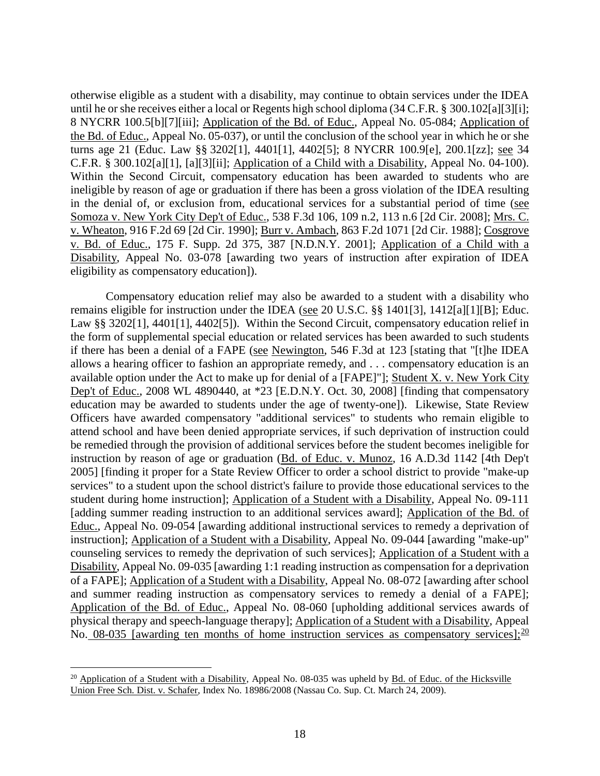otherwise eligible as a student with a disability, may continue to obtain services under the IDEA until he or she receives either a local or Regents high school diploma (34 C.F.R. § 300.102[a][3][i]; 8 NYCRR 100.5[b][7][iii]; Application of the Bd. of Educ., Appeal No. 05-084; Application of the Bd. of Educ., Appeal No. 05-037), or until the conclusion of the school year in which he or she turns age 21 (Educ. Law §§ 3202[1], 4401[1], 4402[5]; 8 NYCRR 100.9[e], 200.1[zz]; see 34 C.F.R. § 300.102[a][1], [a][3][ii]; Application of a Child with a Disability, Appeal No. 04-100). Within the Second Circuit, compensatory education has been awarded to students who are ineligible by reason of age or graduation if there has been a gross violation of the IDEA resulting in the denial of, or exclusion from, educational services for a substantial period of time (see Somoza v. New York City Dep't of Educ., 538 F.3d 106, 109 n.2, 113 n.6 [2d Cir. 2008]; Mrs. C. v. Wheaton, 916 F.2d 69 [2d Cir. 1990]; Burr v. Ambach, 863 F.2d 1071 [2d Cir. 1988]; Cosgrove v. Bd. of Educ., 175 F. Supp. 2d 375, 387 [N.D.N.Y. 2001]; Application of a Child with a Disability, Appeal No. 03-078 [awarding two years of instruction after expiration of IDEA eligibility as compensatory education]).

Compensatory education relief may also be awarded to a student with a disability who remains eligible for instruction under the IDEA (see 20 U.S.C. §§ 1401[3], 1412[a][1][B]; Educ. Law §§ 3202[1], 4401[1], 4402[5]). Within the Second Circuit, compensatory education relief in the form of supplemental special education or related services has been awarded to such students if there has been a denial of a FAPE (see Newington, 546 F.3d at 123 [stating that "[t]he IDEA allows a hearing officer to fashion an appropriate remedy, and . . . compensatory education is an available option under the Act to make up for denial of a [FAPE]"]; Student X. v. New York City Dep't of Educ., 2008 WL 4890440, at \*23 [E.D.N.Y. Oct. 30, 2008] [finding that compensatory education may be awarded to students under the age of twenty-one]). Likewise, State Review Officers have awarded compensatory "additional services" to students who remain eligible to attend school and have been denied appropriate services, if such deprivation of instruction could be remedied through the provision of additional services before the student becomes ineligible for instruction by reason of age or graduation (Bd. of Educ. v. Munoz, 16 A.D.3d 1142 [4th Dep't 2005] [finding it proper for a State Review Officer to order a school district to provide "make-up services" to a student upon the school district's failure to provide those educational services to the student during home instruction]; Application of a Student with a Disability, Appeal No. 09-111 [adding summer reading instruction to an additional services award]; Application of the Bd. of Educ., Appeal No. 09-054 [awarding additional instructional services to remedy a deprivation of instruction]; Application of a Student with a Disability, Appeal No. 09-044 [awarding "make-up" counseling services to remedy the deprivation of such services]; Application of a Student with a Disability, Appeal No. 09-035 [awarding 1:1 reading instruction as compensation for a deprivation of a FAPE]; Application of a Student with a Disability, Appeal No. 08-072 [awarding after school and summer reading instruction as compensatory services to remedy a denial of a FAPE]; Application of the Bd. of Educ., Appeal No. 08-060 [upholding additional services awards of physical therapy and speech-language therapy]; Application of a Student with a Disability, Appeal No. 08-035 [awarding ten months of home instruction services as compensatory services];  $\frac{20}{12}$ 

<sup>&</sup>lt;sup>20</sup> Application of a Student with a Disability, Appeal No. 08-035 was upheld by Bd. of Educ. of the Hicksville Union Free Sch. Dist. v. Schafer, Index No. 18986/2008 (Nassau Co. Sup. Ct. March 24, 2009).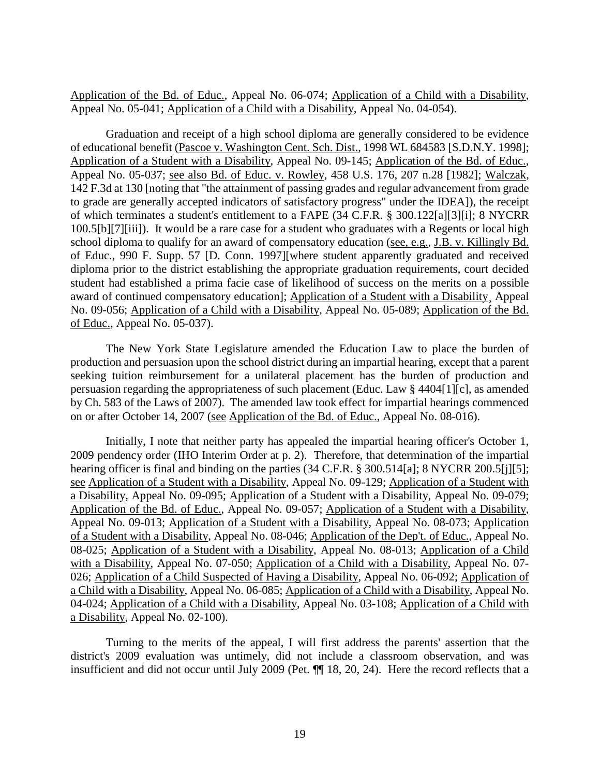Application of the Bd. of Educ., Appeal No. 06-074; Application of a Child with a Disability, Appeal No. 05-041; Application of a Child with a Disability, Appeal No. 04-054).

Graduation and receipt of a high school diploma are generally considered to be evidence of educational benefit (Pascoe v. Washington Cent. Sch. Dist., 1998 WL 684583 [S.D.N.Y. 1998]; Application of a Student with a Disability, Appeal No. 09-145; Application of the Bd. of Educ., Appeal No. 05-037; see also Bd. of Educ. v. Rowley, 458 U.S. 176, 207 n.28 [1982]; Walczak, 142 F.3d at 130 [noting that "the attainment of passing grades and regular advancement from grade to grade are generally accepted indicators of satisfactory progress" under the IDEA]), the receipt of which terminates a student's entitlement to a FAPE (34 C.F.R. § 300.122[a][3][i]; 8 NYCRR 100.5[b][7][iii]). It would be a rare case for a student who graduates with a Regents or local high school diploma to qualify for an award of compensatory education (see, e.g., J.B. v. Killingly Bd. of Educ., 990 F. Supp. 57 [D. Conn. 1997][where student apparently graduated and received diploma prior to the district establishing the appropriate graduation requirements, court decided student had established a prima facie case of likelihood of success on the merits on a possible award of continued compensatory education]; Application of a Student with a Disability¸ Appeal No. 09-056; Application of a Child with a Disability, Appeal No. 05-089; Application of the Bd. of Educ., Appeal No. 05-037).

The New York State Legislature amended the Education Law to place the burden of production and persuasion upon the school district during an impartial hearing, except that a parent seeking tuition reimbursement for a unilateral placement has the burden of production and persuasion regarding the appropriateness of such placement (Educ. Law § 4404[1][c], as amended by Ch. 583 of the Laws of 2007). The amended law took effect for impartial hearings commenced on or after October 14, 2007 (see Application of the Bd. of Educ., Appeal No. 08-016).

Initially, I note that neither party has appealed the impartial hearing officer's October 1, 2009 pendency order (IHO Interim Order at p. 2). Therefore, that determination of the impartial hearing officer is final and binding on the parties (34 C.F.R. § 300.514[a]; 8 NYCRR 200.5[j][5]; see Application of a Student with a Disability, Appeal No. 09-129; Application of a Student with a Disability, Appeal No. 09-095; Application of a Student with a Disability, Appeal No. 09-079; Application of the Bd. of Educ., Appeal No. 09-057; Application of a Student with a Disability, Appeal No. 09-013; Application of a Student with a Disability, Appeal No. 08-073; Application of a Student with a Disability, Appeal No. 08-046; Application of the Dep't. of Educ., Appeal No. 08-025; Application of a Student with a Disability, Appeal No. 08-013; Application of a Child with a Disability, Appeal No. 07-050; Application of a Child with a Disability, Appeal No. 07- 026; Application of a Child Suspected of Having a Disability, Appeal No. 06-092; Application of a Child with a Disability, Appeal No. 06-085; Application of a Child with a Disability, Appeal No. 04-024; Application of a Child with a Disability, Appeal No. 03-108; Application of a Child with a Disability, Appeal No. 02-100).

Turning to the merits of the appeal, I will first address the parents' assertion that the district's 2009 evaluation was untimely, did not include a classroom observation, and was insufficient and did not occur until July 2009 (Pet. ¶¶ 18, 20, 24). Here the record reflects that a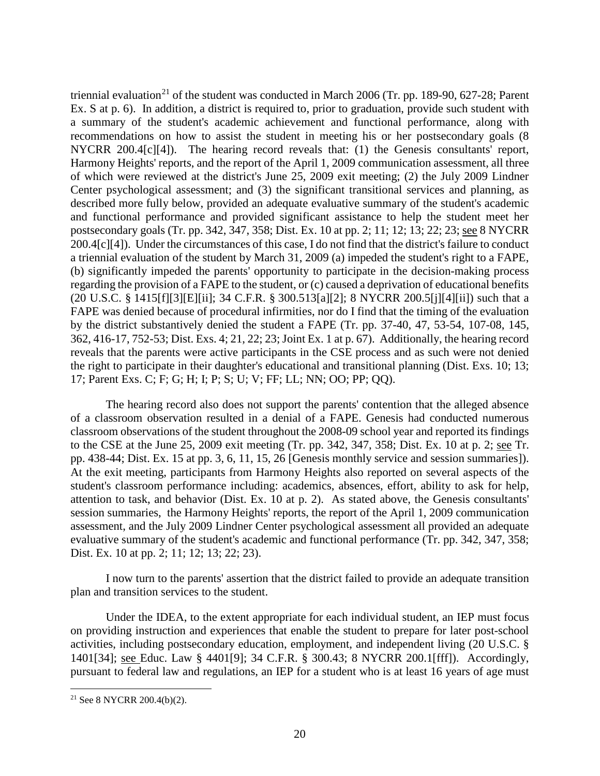triennial evaluation<sup>21</sup> of the student was conducted in March 2006 (Tr. pp. 189-90, 627-28; Parent Ex. S at p. 6). In addition, a district is required to, prior to graduation, provide such student with a summary of the student's academic achievement and functional performance, along with recommendations on how to assist the student in meeting his or her postsecondary goals (8 NYCRR 200.4[c][4]). The hearing record reveals that: (1) the Genesis consultants' report, Harmony Heights' reports, and the report of the April 1, 2009 communication assessment, all three of which were reviewed at the district's June 25, 2009 exit meeting; (2) the July 2009 Lindner Center psychological assessment; and (3) the significant transitional services and planning, as described more fully below, provided an adequate evaluative summary of the student's academic and functional performance and provided significant assistance to help the student meet her postsecondary goals (Tr. pp. 342, 347, 358; Dist. Ex. 10 at pp. 2; 11; 12; 13; 22; 23; see 8 NYCRR 200.4[c][4]). Under the circumstances of this case, I do not find that the district's failure to conduct a triennial evaluation of the student by March 31, 2009 (a) impeded the student's right to a FAPE, (b) significantly impeded the parents' opportunity to participate in the decision-making process regarding the provision of a FAPE to the student, or (c) caused a deprivation of educational benefits (20 U.S.C. § 1415[f][3][E][ii]; 34 C.F.R. § 300.513[a][2]; 8 NYCRR 200.5[j][4][ii]) such that a FAPE was denied because of procedural infirmities, nor do I find that the timing of the evaluation by the district substantively denied the student a FAPE (Tr. pp. 37-40, 47, 53-54, 107-08, 145, 362, 416-17, 752-53; Dist. Exs. 4; 21, 22; 23; Joint Ex. 1 at p. 67). Additionally, the hearing record reveals that the parents were active participants in the CSE process and as such were not denied the right to participate in their daughter's educational and transitional planning (Dist. Exs. 10; 13; 17; Parent Exs. C; F; G; H; I; P; S; U; V; FF; LL; NN; OO; PP; QQ).

The hearing record also does not support the parents' contention that the alleged absence of a classroom observation resulted in a denial of a FAPE. Genesis had conducted numerous classroom observations of the student throughout the 2008-09 school year and reported its findings to the CSE at the June 25, 2009 exit meeting (Tr. pp. 342, 347, 358; Dist. Ex. 10 at p. 2; see Tr. pp. 438-44; Dist. Ex. 15 at pp. 3, 6, 11, 15, 26 [Genesis monthly service and session summaries]). At the exit meeting, participants from Harmony Heights also reported on several aspects of the student's classroom performance including: academics, absences, effort, ability to ask for help, attention to task, and behavior (Dist. Ex. 10 at p. 2). As stated above, the Genesis consultants' session summaries, the Harmony Heights' reports, the report of the April 1, 2009 communication assessment, and the July 2009 Lindner Center psychological assessment all provided an adequate evaluative summary of the student's academic and functional performance (Tr. pp. 342, 347, 358; Dist. Ex. 10 at pp. 2; 11; 12; 13; 22; 23).

I now turn to the parents' assertion that the district failed to provide an adequate transition plan and transition services to the student.

Under the IDEA, to the extent appropriate for each individual student, an IEP must focus on providing instruction and experiences that enable the student to prepare for later post-school activities, including postsecondary education, employment, and independent living (20 U.S.C. § 1401[34]; see Educ. Law § 4401[9]; 34 C.F.R. § 300.43; 8 NYCRR 200.1[fff]). Accordingly, pursuant to federal law and regulations, an IEP for a student who is at least 16 years of age must

 <sup>21</sup> See 8 NYCRR 200.4(b)(2).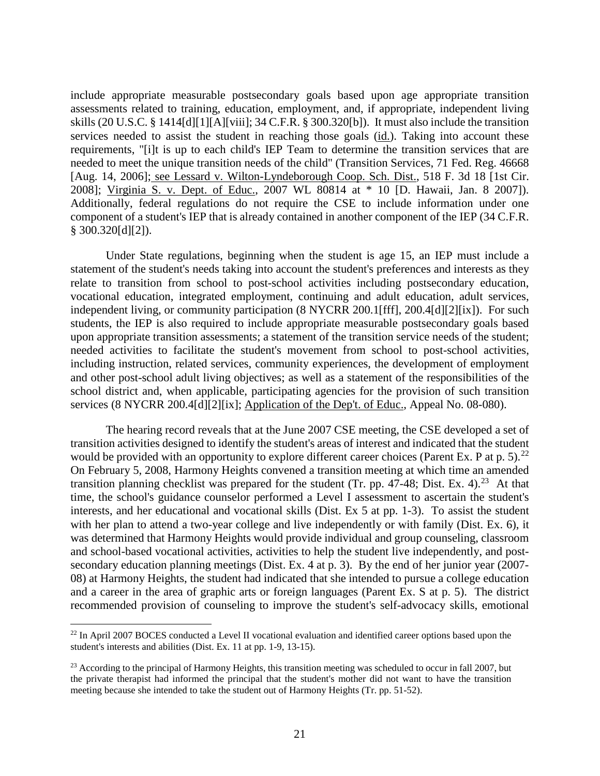include appropriate measurable postsecondary goals based upon age appropriate transition assessments related to training, education, employment, and, if appropriate, independent living skills (20 U.S.C. § 1414[d][1][A][viii]; 34 C.F.R. § 300.320[b]). It must also include the transition services needed to assist the student in reaching those goals (id.). Taking into account these requirements, "[i]t is up to each child's IEP Team to determine the transition services that are needed to meet the unique transition needs of the child" (Transition Services, 71 Fed. Reg. 46668 [Aug. 14, 2006]; see Lessard v. Wilton-Lyndeborough Coop. Sch. Dist., 518 F. 3d 18 [1st Cir. 2008]; Virginia S. v. Dept. of Educ., 2007 WL 80814 at \* 10 [D. Hawaii, Jan. 8 2007]). Additionally, federal regulations do not require the CSE to include information under one component of a student's IEP that is already contained in another component of the IEP (34 C.F.R.  $§$  300.320[d][2]).

Under State regulations, beginning when the student is age 15, an IEP must include a statement of the student's needs taking into account the student's preferences and interests as they relate to transition from school to post-school activities including postsecondary education, vocational education, integrated employment, continuing and adult education, adult services, independent living, or community participation (8 NYCRR 200.1[fff], 200.4[d][2][ix]). For such students, the IEP is also required to include appropriate measurable postsecondary goals based upon appropriate transition assessments; a statement of the transition service needs of the student; needed activities to facilitate the student's movement from school to post-school activities, including instruction, related services, community experiences, the development of employment and other post-school adult living objectives; as well as a statement of the responsibilities of the school district and, when applicable, participating agencies for the provision of such transition services (8 NYCRR 200.4[d][2][ix]; Application of the Dep't. of Educ., Appeal No. 08-080).

The hearing record reveals that at the June 2007 CSE meeting, the CSE developed a set of transition activities designed to identify the student's areas of interest and indicated that the student would be provided with an opportunity to explore different career choices (Parent Ex. P at p. 5).<sup>22</sup> On February 5, 2008, Harmony Heights convened a transition meeting at which time an amended transition planning checklist was prepared for the student (Tr. pp. 47-48; Dist. Ex. 4).<sup>23</sup> At that time, the school's guidance counselor performed a Level I assessment to ascertain the student's interests, and her educational and vocational skills (Dist. Ex 5 at pp. 1-3). To assist the student with her plan to attend a two-year college and live independently or with family (Dist. Ex. 6), it was determined that Harmony Heights would provide individual and group counseling, classroom and school-based vocational activities, activities to help the student live independently, and postsecondary education planning meetings (Dist. Ex. 4 at p. 3). By the end of her junior year (2007- 08) at Harmony Heights, the student had indicated that she intended to pursue a college education and a career in the area of graphic arts or foreign languages (Parent Ex. S at p. 5). The district recommended provision of counseling to improve the student's self-advocacy skills, emotional

<sup>&</sup>lt;sup>22</sup> In April 2007 BOCES conducted a Level II vocational evaluation and identified career options based upon the student's interests and abilities (Dist. Ex. 11 at pp. 1-9, 13-15).

<sup>&</sup>lt;sup>23</sup> According to the principal of Harmony Heights, this transition meeting was scheduled to occur in fall 2007, but the private therapist had informed the principal that the student's mother did not want to have the transition meeting because she intended to take the student out of Harmony Heights (Tr. pp. 51-52).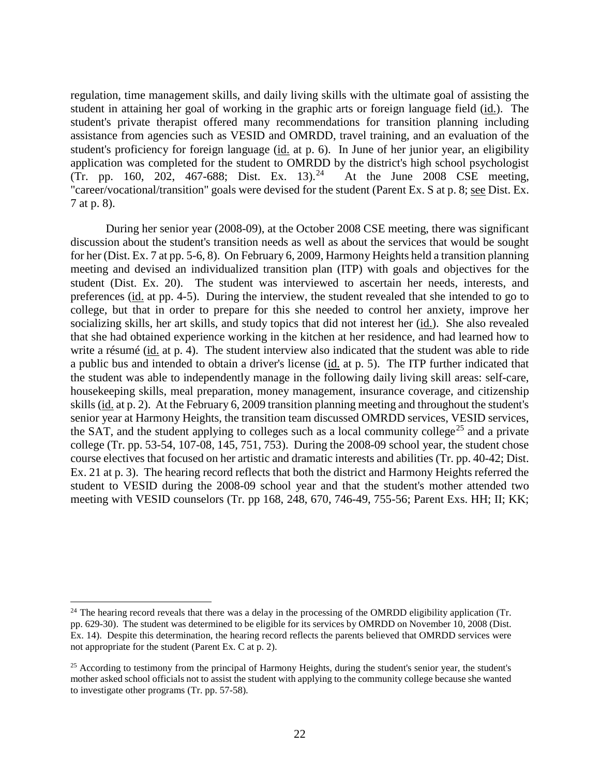regulation, time management skills, and daily living skills with the ultimate goal of assisting the student in attaining her goal of working in the graphic arts or foreign language field (id.). The student's private therapist offered many recommendations for transition planning including assistance from agencies such as VESID and OMRDD, travel training, and an evaluation of the student's proficiency for foreign language (id. at p. 6). In June of her junior year, an eligibility application was completed for the student to OMRDD by the district's high school psychologist (Tr. pp. 160, 202, 467-688; Dist. Ex. 13).<sup>24</sup> At the June 2008 CSE meeting, "career/vocational/transition" goals were devised for the student (Parent Ex. S at p. 8; see Dist. Ex. 7 at p. 8).

During her senior year (2008-09), at the October 2008 CSE meeting, there was significant discussion about the student's transition needs as well as about the services that would be sought for her (Dist. Ex. 7 at pp. 5-6, 8). On February 6, 2009, Harmony Heights held a transition planning meeting and devised an individualized transition plan (ITP) with goals and objectives for the student (Dist. Ex. 20). The student was interviewed to ascertain her needs, interests, and preferences (id. at pp. 4-5). During the interview, the student revealed that she intended to go to college, but that in order to prepare for this she needed to control her anxiety, improve her socializing skills, her art skills, and study topics that did not interest her (id.). She also revealed that she had obtained experience working in the kitchen at her residence, and had learned how to write a résumé (id. at p. 4). The student interview also indicated that the student was able to ride a public bus and intended to obtain a driver's license (id. at p. 5). The ITP further indicated that the student was able to independently manage in the following daily living skill areas: self-care, housekeeping skills, meal preparation, money management, insurance coverage, and citizenship skills (id. at p. 2). At the February 6, 2009 transition planning meeting and throughout the student's senior year at Harmony Heights, the transition team discussed OMRDD services, VESID services, the SAT, and the student applying to colleges such as a local community college<sup>25</sup> and a private college (Tr. pp. 53-54, 107-08, 145, 751, 753). During the 2008-09 school year, the student chose course electives that focused on her artistic and dramatic interests and abilities (Tr. pp. 40-42; Dist. Ex. 21 at p. 3). The hearing record reflects that both the district and Harmony Heights referred the student to VESID during the 2008-09 school year and that the student's mother attended two meeting with VESID counselors (Tr. pp 168, 248, 670, 746-49, 755-56; Parent Exs. HH; II; KK;

<sup>&</sup>lt;sup>24</sup> The hearing record reveals that there was a delay in the processing of the OMRDD eligibility application (Tr. pp. 629-30). The student was determined to be eligible for its services by OMRDD on November 10, 2008 (Dist. Ex. 14). Despite this determination, the hearing record reflects the parents believed that OMRDD services were not appropriate for the student (Parent Ex. C at p. 2).

<sup>&</sup>lt;sup>25</sup> According to testimony from the principal of Harmony Heights, during the student's senior year, the student's mother asked school officials not to assist the student with applying to the community college because she wanted to investigate other programs (Tr. pp. 57-58).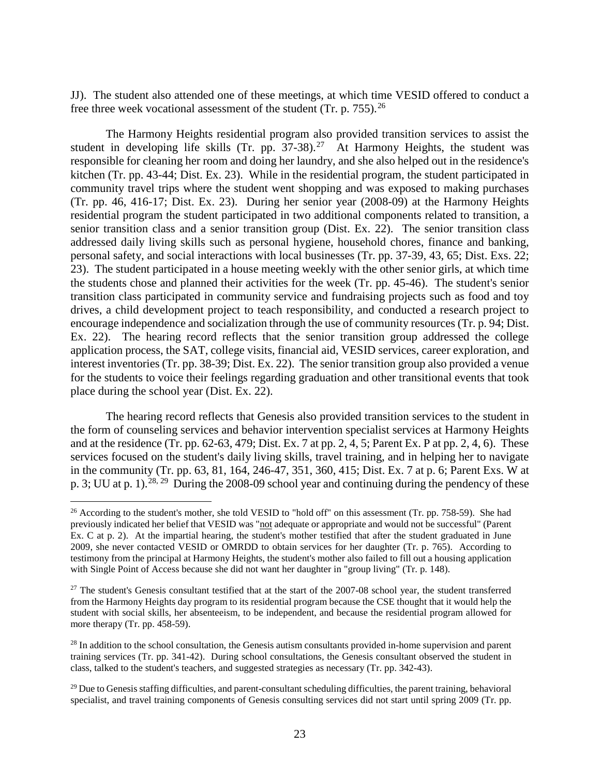JJ). The student also attended one of these meetings, at which time VESID offered to conduct a free three week vocational assessment of the student (Tr. p.  $755$ ).<sup>26</sup>

The Harmony Heights residential program also provided transition services to assist the student in developing life skills (Tr. pp.  $37-38$ ).<sup>27</sup> At Harmony Heights, the student was responsible for cleaning her room and doing her laundry, and she also helped out in the residence's kitchen (Tr. pp. 43-44; Dist. Ex. 23). While in the residential program, the student participated in community travel trips where the student went shopping and was exposed to making purchases (Tr. pp. 46, 416-17; Dist. Ex. 23). During her senior year (2008-09) at the Harmony Heights residential program the student participated in two additional components related to transition, a senior transition class and a senior transition group (Dist. Ex. 22). The senior transition class addressed daily living skills such as personal hygiene, household chores, finance and banking, personal safety, and social interactions with local businesses (Tr. pp. 37-39, 43, 65; Dist. Exs. 22; 23). The student participated in a house meeting weekly with the other senior girls, at which time the students chose and planned their activities for the week (Tr. pp. 45-46). The student's senior transition class participated in community service and fundraising projects such as food and toy drives, a child development project to teach responsibility, and conducted a research project to encourage independence and socialization through the use of community resources (Tr. p. 94; Dist. Ex. 22). The hearing record reflects that the senior transition group addressed the college application process, the SAT, college visits, financial aid, VESID services, career exploration, and interest inventories (Tr. pp. 38-39; Dist. Ex. 22). The senior transition group also provided a venue for the students to voice their feelings regarding graduation and other transitional events that took place during the school year (Dist. Ex. 22).

The hearing record reflects that Genesis also provided transition services to the student in the form of counseling services and behavior intervention specialist services at Harmony Heights and at the residence (Tr. pp. 62-63, 479; Dist. Ex. 7 at pp. 2, 4, 5; Parent Ex. P at pp. 2, 4, 6). These services focused on the student's daily living skills, travel training, and in helping her to navigate in the community (Tr. pp. 63, 81, 164, 246-47, 351, 360, 415; Dist. Ex. 7 at p. 6; Parent Exs. W at p. 3; UU at p. 1).<sup>28, 29</sup> During the 2008-09 school year and continuing during the pendency of these

<sup>&</sup>lt;sup>26</sup> According to the student's mother, she told VESID to "hold off" on this assessment (Tr. pp. 758-59). She had previously indicated her belief that VESID was "not adequate or appropriate and would not be successful" (Parent Ex. C at p. 2). At the impartial hearing, the student's mother testified that after the student graduated in June 2009, she never contacted VESID or OMRDD to obtain services for her daughter (Tr. p. 765). According to testimony from the principal at Harmony Heights, the student's mother also failed to fill out a housing application with Single Point of Access because she did not want her daughter in "group living" (Tr. p. 148).

 $27$  The student's Genesis consultant testified that at the start of the 2007-08 school year, the student transferred from the Harmony Heights day program to its residential program because the CSE thought that it would help the student with social skills, her absenteeism, to be independent, and because the residential program allowed for more therapy (Tr. pp. 458-59).

 $28$  In addition to the school consultation, the Genesis autism consultants provided in-home supervision and parent training services (Tr. pp. 341-42). During school consultations, the Genesis consultant observed the student in class, talked to the student's teachers, and suggested strategies as necessary (Tr. pp. 342-43).

<sup>&</sup>lt;sup>29</sup> Due to Genesis staffing difficulties, and parent-consultant scheduling difficulties, the parent training, behavioral specialist, and travel training components of Genesis consulting services did not start until spring 2009 (Tr. pp.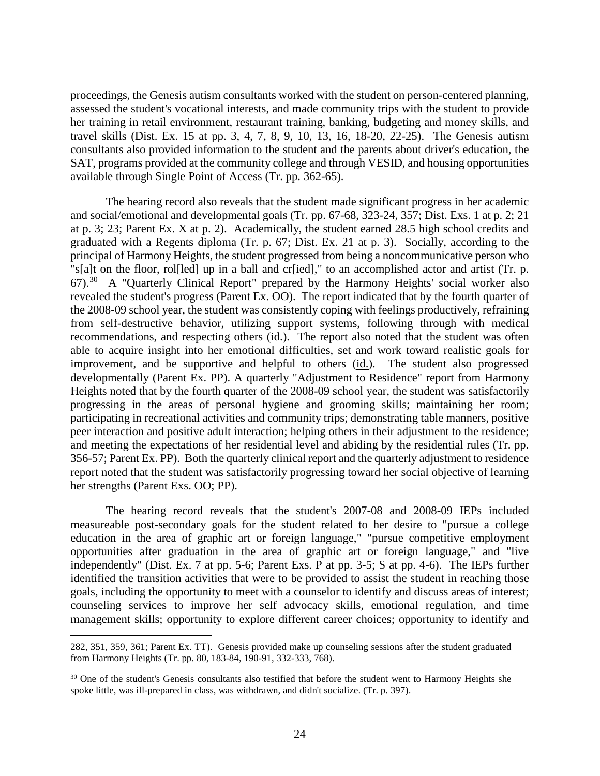proceedings, the Genesis autism consultants worked with the student on person-centered planning, assessed the student's vocational interests, and made community trips with the student to provide her training in retail environment, restaurant training, banking, budgeting and money skills, and travel skills (Dist. Ex. 15 at pp. 3, 4, 7, 8, 9, 10, 13, 16, 18-20, 22-25). The Genesis autism consultants also provided information to the student and the parents about driver's education, the SAT, programs provided at the community college and through VESID, and housing opportunities available through Single Point of Access (Tr. pp. 362-65).

The hearing record also reveals that the student made significant progress in her academic and social/emotional and developmental goals (Tr. pp. 67-68, 323-24, 357; Dist. Exs. 1 at p. 2; 21 at p. 3; 23; Parent Ex. X at p. 2). Academically, the student earned 28.5 high school credits and graduated with a Regents diploma (Tr. p. 67; Dist. Ex. 21 at p. 3). Socially, according to the principal of Harmony Heights, the student progressed from being a noncommunicative person who "s[a]t on the floor, rol[led] up in a ball and cr[ied]," to an accomplished actor and artist (Tr. p. 67). 30 A "Quarterly Clinical Report" prepared by the Harmony Heights' social worker also revealed the student's progress (Parent Ex. OO). The report indicated that by the fourth quarter of the 2008-09 school year, the student was consistently coping with feelings productively, refraining from self-destructive behavior, utilizing support systems, following through with medical recommendations, and respecting others (id.). The report also noted that the student was often able to acquire insight into her emotional difficulties, set and work toward realistic goals for improvement, and be supportive and helpful to others (id.). The student also progressed developmentally (Parent Ex. PP). A quarterly "Adjustment to Residence" report from Harmony Heights noted that by the fourth quarter of the 2008-09 school year, the student was satisfactorily progressing in the areas of personal hygiene and grooming skills; maintaining her room; participating in recreational activities and community trips; demonstrating table manners, positive peer interaction and positive adult interaction; helping others in their adjustment to the residence; and meeting the expectations of her residential level and abiding by the residential rules (Tr. pp. 356-57; Parent Ex. PP). Both the quarterly clinical report and the quarterly adjustment to residence report noted that the student was satisfactorily progressing toward her social objective of learning her strengths (Parent Exs. OO; PP).

The hearing record reveals that the student's 2007-08 and 2008-09 IEPs included measureable post-secondary goals for the student related to her desire to "pursue a college education in the area of graphic art or foreign language," "pursue competitive employment opportunities after graduation in the area of graphic art or foreign language," and "live independently" (Dist. Ex. 7 at pp. 5-6; Parent Exs. P at pp. 3-5; S at pp. 4-6). The IEPs further identified the transition activities that were to be provided to assist the student in reaching those goals, including the opportunity to meet with a counselor to identify and discuss areas of interest; counseling services to improve her self advocacy skills, emotional regulation, and time management skills; opportunity to explore different career choices; opportunity to identify and

 <sup>282, 351, 359, 361;</sup> Parent Ex. TT). Genesis provided make up counseling sessions after the student graduated from Harmony Heights (Tr. pp. 80, 183-84, 190-91, 332-333, 768).

<sup>&</sup>lt;sup>30</sup> One of the student's Genesis consultants also testified that before the student went to Harmony Heights she spoke little, was ill-prepared in class, was withdrawn, and didn't socialize. (Tr. p. 397).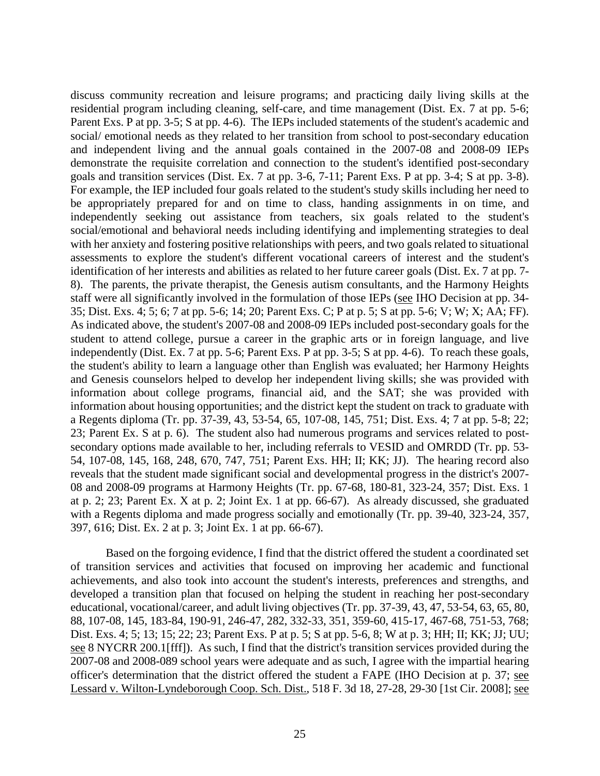discuss community recreation and leisure programs; and practicing daily living skills at the residential program including cleaning, self-care, and time management (Dist. Ex. 7 at pp. 5-6; Parent Exs. P at pp. 3-5; S at pp. 4-6). The IEPs included statements of the student's academic and social/ emotional needs as they related to her transition from school to post-secondary education and independent living and the annual goals contained in the 2007-08 and 2008-09 IEPs demonstrate the requisite correlation and connection to the student's identified post-secondary goals and transition services (Dist. Ex. 7 at pp. 3-6, 7-11; Parent Exs. P at pp. 3-4; S at pp. 3-8). For example, the IEP included four goals related to the student's study skills including her need to be appropriately prepared for and on time to class, handing assignments in on time, and independently seeking out assistance from teachers, six goals related to the student's social/emotional and behavioral needs including identifying and implementing strategies to deal with her anxiety and fostering positive relationships with peers, and two goals related to situational assessments to explore the student's different vocational careers of interest and the student's identification of her interests and abilities as related to her future career goals (Dist. Ex. 7 at pp. 7- 8). The parents, the private therapist, the Genesis autism consultants, and the Harmony Heights staff were all significantly involved in the formulation of those IEPs (see IHO Decision at pp. 34- 35; Dist. Exs. 4; 5; 6; 7 at pp. 5-6; 14; 20; Parent Exs. C; P at p. 5; S at pp. 5-6; V; W; X; AA; FF). As indicated above, the student's 2007-08 and 2008-09 IEPs included post-secondary goals for the student to attend college, pursue a career in the graphic arts or in foreign language, and live independently (Dist. Ex. 7 at pp. 5-6; Parent Exs. P at pp. 3-5; S at pp. 4-6). To reach these goals, the student's ability to learn a language other than English was evaluated; her Harmony Heights and Genesis counselors helped to develop her independent living skills; she was provided with information about college programs, financial aid, and the SAT; she was provided with information about housing opportunities; and the district kept the student on track to graduate with a Regents diploma (Tr. pp. 37-39, 43, 53-54, 65, 107-08, 145, 751; Dist. Exs. 4; 7 at pp. 5-8; 22; 23; Parent Ex. S at p. 6). The student also had numerous programs and services related to postsecondary options made available to her, including referrals to VESID and OMRDD (Tr. pp. 53- 54, 107-08, 145, 168, 248, 670, 747, 751; Parent Exs. HH; II; KK; JJ). The hearing record also reveals that the student made significant social and developmental progress in the district's 2007- 08 and 2008-09 programs at Harmony Heights (Tr. pp. 67-68, 180-81, 323-24, 357; Dist. Exs. 1 at p. 2; 23; Parent Ex. X at p. 2; Joint Ex. 1 at pp. 66-67). As already discussed, she graduated with a Regents diploma and made progress socially and emotionally (Tr. pp. 39-40, 323-24, 357, 397, 616; Dist. Ex. 2 at p. 3; Joint Ex. 1 at pp. 66-67).

Based on the forgoing evidence, I find that the district offered the student a coordinated set of transition services and activities that focused on improving her academic and functional achievements, and also took into account the student's interests, preferences and strengths, and developed a transition plan that focused on helping the student in reaching her post-secondary educational, vocational/career, and adult living objectives (Tr. pp. 37-39, 43, 47, 53-54, 63, 65, 80, 88, 107-08, 145, 183-84, 190-91, 246-47, 282, 332-33, 351, 359-60, 415-17, 467-68, 751-53, 768; Dist. Exs. 4; 5; 13; 15; 22; 23; Parent Exs. P at p. 5; S at pp. 5-6, 8; W at p. 3; HH; II; KK; JJ; UU; see 8 NYCRR 200.1[fff]). As such, I find that the district's transition services provided during the 2007-08 and 2008-089 school years were adequate and as such, I agree with the impartial hearing officer's determination that the district offered the student a FAPE (IHO Decision at p. 37; see Lessard v. Wilton-Lyndeborough Coop. Sch. Dist., 518 F. 3d 18, 27-28, 29-30 [1st Cir. 2008]; see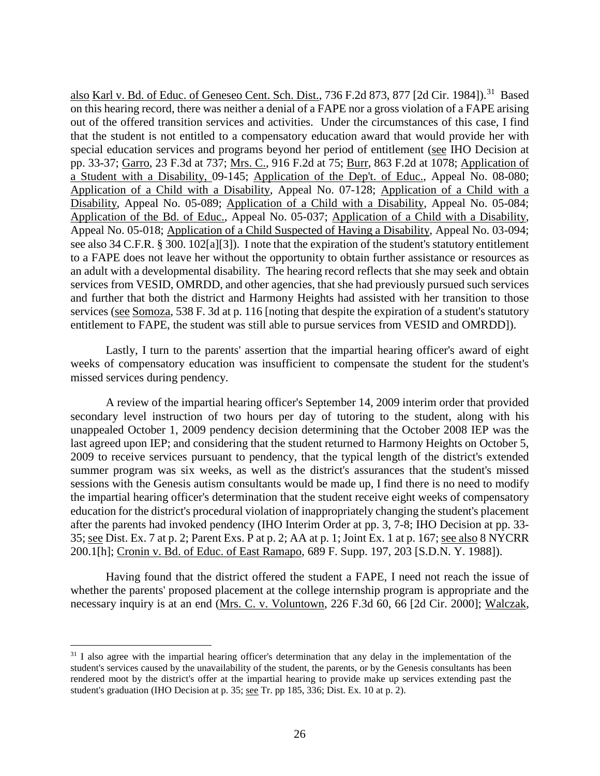also Karl v. Bd. of Educ. of Geneseo Cent. Sch. Dist., 736 F.2d 873, 877 [2d Cir. 1984]).<sup>31</sup> Based on this hearing record, there was neither a denial of a FAPE nor a gross violation of a FAPE arising out of the offered transition services and activities. Under the circumstances of this case, I find that the student is not entitled to a compensatory education award that would provide her with special education services and programs beyond her period of entitlement (see IHO Decision at pp. 33-37; Garro, 23 F.3d at 737; Mrs. C., 916 F.2d at 75; Burr, 863 F.2d at 1078; Application of a Student with a Disability, 09-145; Application of the Dep't. of Educ., Appeal No. 08-080; Application of a Child with a Disability, Appeal No. 07-128; Application of a Child with a Disability, Appeal No. 05-089; Application of a Child with a Disability, Appeal No. 05-084; Application of the Bd. of Educ., Appeal No. 05-037; Application of a Child with a Disability, Appeal No. 05-018; Application of a Child Suspected of Having a Disability, Appeal No. 03-094; see also 34 C.F.R. § 300. 102[a][3]). I note that the expiration of the student's statutory entitlement to a FAPE does not leave her without the opportunity to obtain further assistance or resources as an adult with a developmental disability. The hearing record reflects that she may seek and obtain services from VESID, OMRDD, and other agencies, that she had previously pursued such services and further that both the district and Harmony Heights had assisted with her transition to those services (see Somoza, 538 F. 3d at p. 116 [noting that despite the expiration of a student's statutory entitlement to FAPE, the student was still able to pursue services from VESID and OMRDD]).

Lastly, I turn to the parents' assertion that the impartial hearing officer's award of eight weeks of compensatory education was insufficient to compensate the student for the student's missed services during pendency.

A review of the impartial hearing officer's September 14, 2009 interim order that provided secondary level instruction of two hours per day of tutoring to the student, along with his unappealed October 1, 2009 pendency decision determining that the October 2008 IEP was the last agreed upon IEP; and considering that the student returned to Harmony Heights on October 5, 2009 to receive services pursuant to pendency, that the typical length of the district's extended summer program was six weeks, as well as the district's assurances that the student's missed sessions with the Genesis autism consultants would be made up, I find there is no need to modify the impartial hearing officer's determination that the student receive eight weeks of compensatory education for the district's procedural violation of inappropriately changing the student's placement after the parents had invoked pendency (IHO Interim Order at pp. 3, 7-8; IHO Decision at pp. 33- 35; see Dist. Ex. 7 at p. 2; Parent Exs. P at p. 2; AA at p. 1; Joint Ex. 1 at p. 167; see also 8 NYCRR 200.1[h]; Cronin v. Bd. of Educ. of East Ramapo, 689 F. Supp. 197, 203 [S.D.N. Y. 1988]).

Having found that the district offered the student a FAPE, I need not reach the issue of whether the parents' proposed placement at the college internship program is appropriate and the necessary inquiry is at an end (Mrs. C. v. Voluntown, 226 F.3d 60, 66 [2d Cir. 2000]; Walczak,

<sup>&</sup>lt;sup>31</sup> I also agree with the impartial hearing officer's determination that any delay in the implementation of the student's services caused by the unavailability of the student, the parents, or by the Genesis consultants has been rendered moot by the district's offer at the impartial hearing to provide make up services extending past the student's graduation (IHO Decision at p. 35; see Tr. pp 185, 336; Dist. Ex. 10 at p. 2).